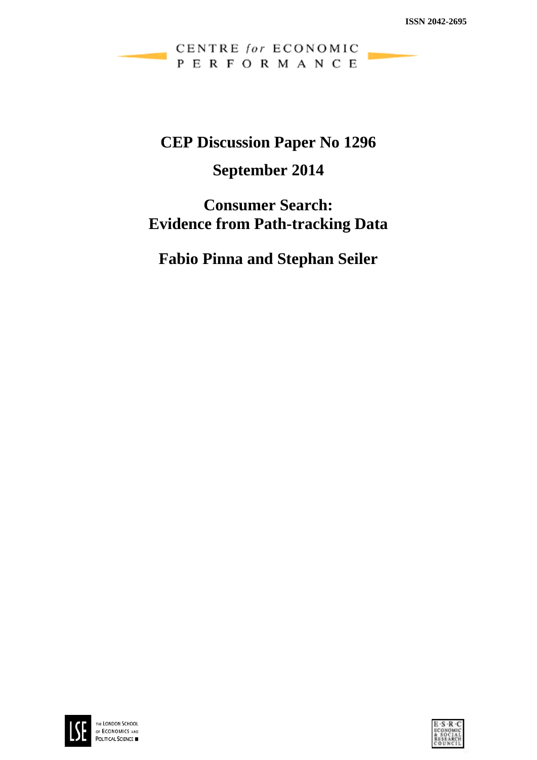CENTRE for ECONOMIC PERFORMANCE

# **CEP Discussion Paper No 1296**

# **September 2014**

# **Consumer Search: Evidence from Path-tracking Data**

**Fabio Pinna and Stephan Seiler**



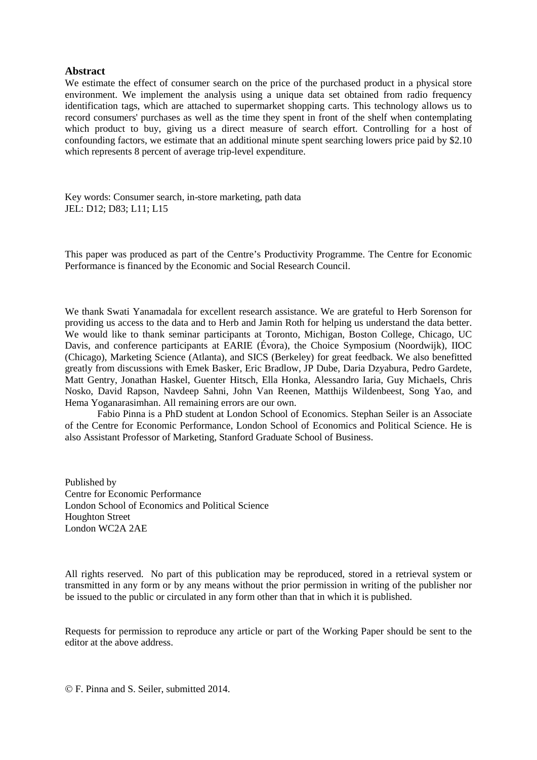## **Abstract**

We estimate the effect of consumer search on the price of the purchased product in a physical store environment. We implement the analysis using a unique data set obtained from radio frequency identification tags, which are attached to supermarket shopping carts. This technology allows us to record consumers' purchases as well as the time they spent in front of the shelf when contemplating which product to buy, giving us a direct measure of search effort. Controlling for a host of confounding factors, we estimate that an additional minute spent searching lowers price paid by \$2.10 which represents 8 percent of average trip-level expenditure.

Key words: Consumer search, in-store marketing, path data JEL: D12; D83; L11; L15

This paper was produced as part of the Centre's Productivity Programme. The Centre for Economic Performance is financed by the Economic and Social Research Council.

We thank Swati Yanamadala for excellent research assistance. We are grateful to Herb Sorenson for providing us access to the data and to Herb and Jamin Roth for helping us understand the data better. We would like to thank seminar participants at Toronto, Michigan, Boston College, Chicago, UC Davis, and conference participants at EARIE (Évora), the Choice Symposium (Noordwijk), IIOC (Chicago), Marketing Science (Atlanta), and SICS (Berkeley) for great feedback. We also benefitted greatly from discussions with Emek Basker, Eric Bradlow, JP Dube, Daria Dzyabura, Pedro Gardete, Matt Gentry, Jonathan Haskel, Guenter Hitsch, Ella Honka, Alessandro Iaria, Guy Michaels, Chris Nosko, David Rapson, Navdeep Sahni, John Van Reenen, Matthijs Wildenbeest, Song Yao, and Hema Yoganarasimhan. All remaining errors are our own.

Fabio Pinna is a PhD student at London School of Economics. Stephan Seiler is an Associate of the Centre for Economic Performance, London School of Economics and Political Science. He is also Assistant Professor of Marketing, Stanford Graduate School of Business.

Published by Centre for Economic Performance London School of Economics and Political Science Houghton Street London WC2A 2AE

All rights reserved. No part of this publication may be reproduced, stored in a retrieval system or transmitted in any form or by any means without the prior permission in writing of the publisher nor be issued to the public or circulated in any form other than that in which it is published.

Requests for permission to reproduce any article or part of the Working Paper should be sent to the editor at the above address.

F. Pinna and S. Seiler, submitted 2014.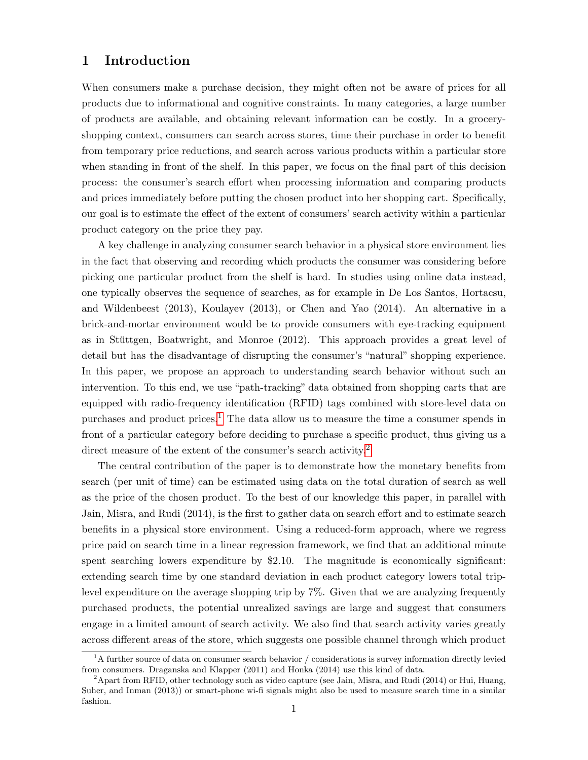## 1 Introduction

When consumers make a purchase decision, they might often not be aware of prices for all products due to informational and cognitive constraints. In many categories, a large number of products are available, and obtaining relevant information can be costly. In a groceryshopping context, consumers can search across stores, time their purchase in order to benefit from temporary price reductions, and search across various products within a particular store when standing in front of the shelf. In this paper, we focus on the final part of this decision process: the consumer's search effort when processing information and comparing products and prices immediately before putting the chosen product into her shopping cart. Specifically, our goal is to estimate the effect of the extent of consumers' search activity within a particular product category on the price they pay.

A key challenge in analyzing consumer search behavior in a physical store environment lies in the fact that observing and recording which products the consumer was considering before picking one particular product from the shelf is hard. In studies using online data instead, one typically observes the sequence of searches, as for example in De Los Santos, Hortacsu, and Wildenbeest (2013), Koulayev (2013), or Chen and Yao (2014). An alternative in a brick-and-mortar environment would be to provide consumers with eye-tracking equipment as in Stüttgen, Boatwright, and Monroe  $(2012)$ . This approach provides a great level of detail but has the disadvantage of disrupting the consumer's "natural" shopping experience. In this paper, we propose an approach to understanding search behavior without such an intervention. To this end, we use "path-tracking" data obtained from shopping carts that are equipped with radio-frequency identification (RFID) tags combined with store-level data on purchases and product prices.<sup>[1](#page--1-0)</sup> The data allow us to measure the time a consumer spends in front of a particular category before deciding to purchase a specific product, thus giving us a direct measure of the extent of the consumer's search activity.<sup>[2](#page--1-0)</sup>

The central contribution of the paper is to demonstrate how the monetary benefits from search (per unit of time) can be estimated using data on the total duration of search as well as the price of the chosen product. To the best of our knowledge this paper, in parallel with Jain, Misra, and Rudi (2014), is the first to gather data on search effort and to estimate search benefits in a physical store environment. Using a reduced-form approach, where we regress price paid on search time in a linear regression framework, we find that an additional minute spent searching lowers expenditure by \$2.10. The magnitude is economically significant: extending search time by one standard deviation in each product category lowers total triplevel expenditure on the average shopping trip by 7%. Given that we are analyzing frequently purchased products, the potential unrealized savings are large and suggest that consumers engage in a limited amount of search activity. We also find that search activity varies greatly across different areas of the store, which suggests one possible channel through which product

 ${}^{1}$ A further source of data on consumer search behavior / considerations is survey information directly levied from consumers. Draganska and Klapper (2011) and Honka (2014) use this kind of data.

 $2A$ part from RFID, other technology such as video capture (see Jain, Misra, and Rudi (2014) or Hui, Huang, Suher, and Inman (2013)) or smart-phone wi-fi signals might also be used to measure search time in a similar fashion.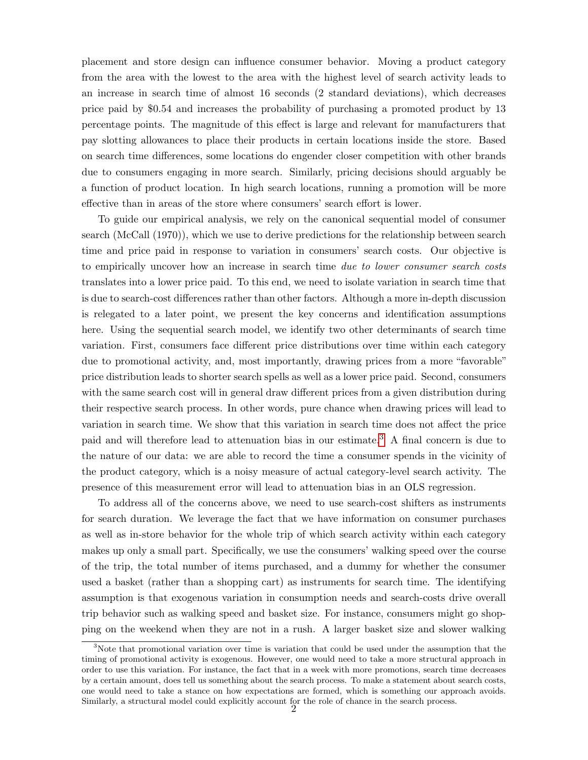placement and store design can influence consumer behavior. Moving a product category from the area with the lowest to the area with the highest level of search activity leads to an increase in search time of almost 16 seconds (2 standard deviations), which decreases price paid by \$0.54 and increases the probability of purchasing a promoted product by 13 percentage points. The magnitude of this effect is large and relevant for manufacturers that pay slotting allowances to place their products in certain locations inside the store. Based on search time differences, some locations do engender closer competition with other brands due to consumers engaging in more search. Similarly, pricing decisions should arguably be a function of product location. In high search locations, running a promotion will be more effective than in areas of the store where consumers' search effort is lower.

To guide our empirical analysis, we rely on the canonical sequential model of consumer search (McCall (1970)), which we use to derive predictions for the relationship between search time and price paid in response to variation in consumers' search costs. Our objective is to empirically uncover how an increase in search time due to lower consumer search costs translates into a lower price paid. To this end, we need to isolate variation in search time that is due to search-cost differences rather than other factors. Although a more in-depth discussion is relegated to a later point, we present the key concerns and identification assumptions here. Using the sequential search model, we identify two other determinants of search time variation. First, consumers face different price distributions over time within each category due to promotional activity, and, most importantly, drawing prices from a more "favorable" price distribution leads to shorter search spells as well as a lower price paid. Second, consumers with the same search cost will in general draw different prices from a given distribution during their respective search process. In other words, pure chance when drawing prices will lead to variation in search time. We show that this variation in search time does not affect the price paid and will therefore lead to attenuation bias in our estimate.[3](#page--1-0) A final concern is due to the nature of our data: we are able to record the time a consumer spends in the vicinity of the product category, which is a noisy measure of actual category-level search activity. The presence of this measurement error will lead to attenuation bias in an OLS regression.

To address all of the concerns above, we need to use search-cost shifters as instruments for search duration. We leverage the fact that we have information on consumer purchases as well as in-store behavior for the whole trip of which search activity within each category makes up only a small part. Specifically, we use the consumers' walking speed over the course of the trip, the total number of items purchased, and a dummy for whether the consumer used a basket (rather than a shopping cart) as instruments for search time. The identifying assumption is that exogenous variation in consumption needs and search-costs drive overall trip behavior such as walking speed and basket size. For instance, consumers might go shopping on the weekend when they are not in a rush. A larger basket size and slower walking

<sup>3</sup>Note that promotional variation over time is variation that could be used under the assumption that the timing of promotional activity is exogenous. However, one would need to take a more structural approach in order to use this variation. For instance, the fact that in a week with more promotions, search time decreases by a certain amount, does tell us something about the search process. To make a statement about search costs, one would need to take a stance on how expectations are formed, which is something our approach avoids. Similarly, a structural model could explicitly account for the role of chance in the search process.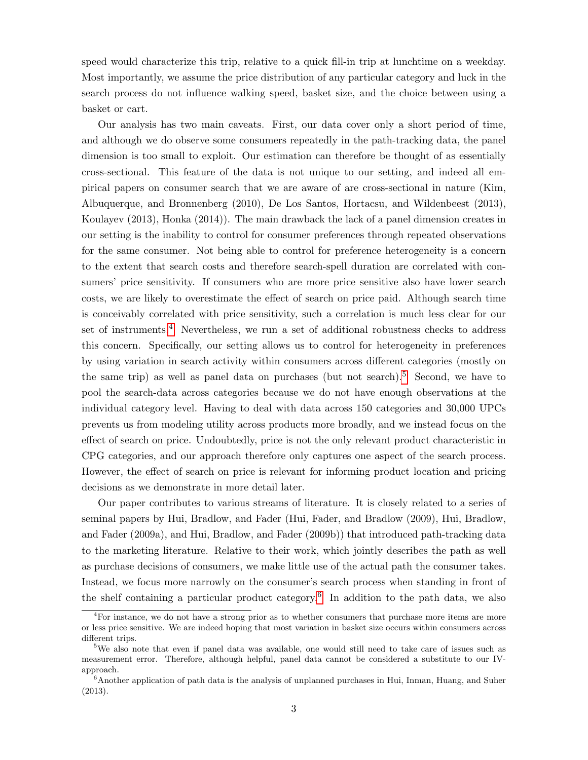speed would characterize this trip, relative to a quick fill-in trip at lunchtime on a weekday. Most importantly, we assume the price distribution of any particular category and luck in the search process do not influence walking speed, basket size, and the choice between using a basket or cart.

Our analysis has two main caveats. First, our data cover only a short period of time, and although we do observe some consumers repeatedly in the path-tracking data, the panel dimension is too small to exploit. Our estimation can therefore be thought of as essentially cross-sectional. This feature of the data is not unique to our setting, and indeed all empirical papers on consumer search that we are aware of are cross-sectional in nature (Kim, Albuquerque, and Bronnenberg (2010), De Los Santos, Hortacsu, and Wildenbeest (2013), Koulayev (2013), Honka (2014)). The main drawback the lack of a panel dimension creates in our setting is the inability to control for consumer preferences through repeated observations for the same consumer. Not being able to control for preference heterogeneity is a concern to the extent that search costs and therefore search-spell duration are correlated with consumers' price sensitivity. If consumers who are more price sensitive also have lower search costs, we are likely to overestimate the effect of search on price paid. Although search time is conceivably correlated with price sensitivity, such a correlation is much less clear for our set of instruments.<sup>[4](#page--1-0)</sup> Nevertheless, we run a set of additional robustness checks to address this concern. Specifically, our setting allows us to control for heterogeneity in preferences by using variation in search activity within consumers across different categories (mostly on the same trip) as well as panel data on purchases (but not search).<sup>[5](#page--1-0)</sup> Second, we have to pool the search-data across categories because we do not have enough observations at the individual category level. Having to deal with data across 150 categories and 30,000 UPCs prevents us from modeling utility across products more broadly, and we instead focus on the effect of search on price. Undoubtedly, price is not the only relevant product characteristic in CPG categories, and our approach therefore only captures one aspect of the search process. However, the effect of search on price is relevant for informing product location and pricing decisions as we demonstrate in more detail later.

Our paper contributes to various streams of literature. It is closely related to a series of seminal papers by Hui, Bradlow, and Fader (Hui, Fader, and Bradlow (2009), Hui, Bradlow, and Fader (2009a), and Hui, Bradlow, and Fader (2009b)) that introduced path-tracking data to the marketing literature. Relative to their work, which jointly describes the path as well as purchase decisions of consumers, we make little use of the actual path the consumer takes. Instead, we focus more narrowly on the consumer's search process when standing in front of the shelf containing a particular product category.<sup>[6](#page--1-0)</sup> In addition to the path data, we also

<sup>&</sup>lt;sup>4</sup>For instance, we do not have a strong prior as to whether consumers that purchase more items are more or less price sensitive. We are indeed hoping that most variation in basket size occurs within consumers across different trips.

<sup>5</sup>We also note that even if panel data was available, one would still need to take care of issues such as measurement error. Therefore, although helpful, panel data cannot be considered a substitute to our IVapproach.

 $6$ Another application of path data is the analysis of unplanned purchases in Hui, Inman, Huang, and Suher (2013).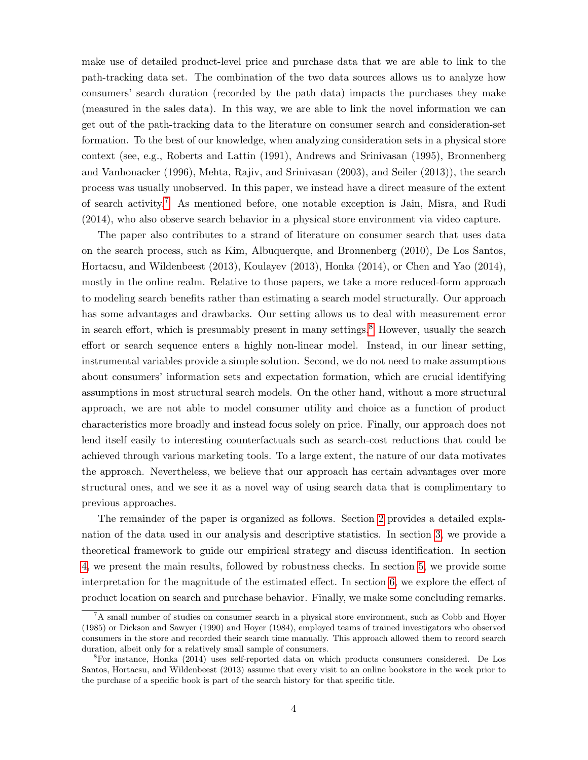make use of detailed product-level price and purchase data that we are able to link to the path-tracking data set. The combination of the two data sources allows us to analyze how consumers' search duration (recorded by the path data) impacts the purchases they make (measured in the sales data). In this way, we are able to link the novel information we can get out of the path-tracking data to the literature on consumer search and consideration-set formation. To the best of our knowledge, when analyzing consideration sets in a physical store context (see, e.g., Roberts and Lattin (1991), Andrews and Srinivasan (1995), Bronnenberg and Vanhonacker (1996), Mehta, Rajiv, and Srinivasan (2003), and Seiler (2013)), the search process was usually unobserved. In this paper, we instead have a direct measure of the extent of search activity.[7](#page--1-0) As mentioned before, one notable exception is Jain, Misra, and Rudi (2014), who also observe search behavior in a physical store environment via video capture.

The paper also contributes to a strand of literature on consumer search that uses data on the search process, such as Kim, Albuquerque, and Bronnenberg (2010), De Los Santos, Hortacsu, and Wildenbeest (2013), Koulayev (2013), Honka (2014), or Chen and Yao (2014), mostly in the online realm. Relative to those papers, we take a more reduced-form approach to modeling search benefits rather than estimating a search model structurally. Our approach has some advantages and drawbacks. Our setting allows us to deal with measurement error in search effort, which is presumably present in many settings.<sup>[8](#page--1-0)</sup> However, usually the search effort or search sequence enters a highly non-linear model. Instead, in our linear setting, instrumental variables provide a simple solution. Second, we do not need to make assumptions about consumers' information sets and expectation formation, which are crucial identifying assumptions in most structural search models. On the other hand, without a more structural approach, we are not able to model consumer utility and choice as a function of product characteristics more broadly and instead focus solely on price. Finally, our approach does not lend itself easily to interesting counterfactuals such as search-cost reductions that could be achieved through various marketing tools. To a large extent, the nature of our data motivates the approach. Nevertheless, we believe that our approach has certain advantages over more structural ones, and we see it as a novel way of using search data that is complimentary to previous approaches.

The remainder of the paper is organized as follows. Section [2](#page-6-0) provides a detailed explanation of the data used in our analysis and descriptive statistics. In section [3,](#page-8-0) we provide a theoretical framework to guide our empirical strategy and discuss identification. In section [4,](#page-14-0) we present the main results, followed by robustness checks. In section [5,](#page-23-0) we provide some interpretation for the magnitude of the estimated effect. In section [6,](#page-24-0) we explore the effect of product location on search and purchase behavior. Finally, we make some concluding remarks.

<sup>7</sup>A small number of studies on consumer search in a physical store environment, such as Cobb and Hoyer (1985) or Dickson and Sawyer (1990) and Hoyer (1984), employed teams of trained investigators who observed consumers in the store and recorded their search time manually. This approach allowed them to record search duration, albeit only for a relatively small sample of consumers.

<sup>8</sup>For instance, Honka (2014) uses self-reported data on which products consumers considered. De Los Santos, Hortacsu, and Wildenbeest (2013) assume that every visit to an online bookstore in the week prior to the purchase of a specific book is part of the search history for that specific title.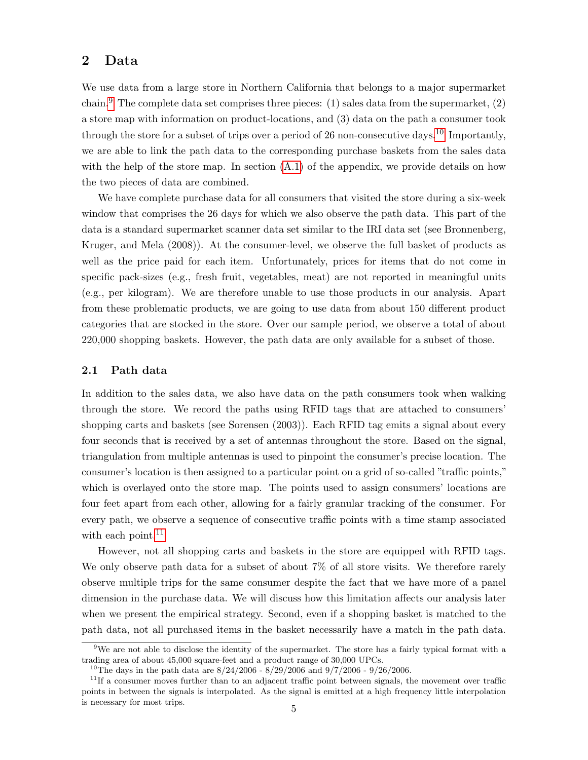## <span id="page-6-0"></span>2 Data

We use data from a large store in Northern California that belongs to a major supermarket chain.<sup>[9](#page--1-0)</sup> The complete data set comprises three pieces: (1) sales data from the supermarket, (2) a store map with information on product-locations, and (3) data on the path a consumer took through the store for a subset of trips over a period of 26 non-consecutive days.<sup>[10](#page--1-0)</sup> Importantly, we are able to link the path data to the corresponding purchase baskets from the sales data with the help of the store map. In section  $(A.1)$  of the appendix, we provide details on how the two pieces of data are combined.

We have complete purchase data for all consumers that visited the store during a six-week window that comprises the 26 days for which we also observe the path data. This part of the data is a standard supermarket scanner data set similar to the IRI data set (see Bronnenberg, Kruger, and Mela (2008)). At the consumer-level, we observe the full basket of products as well as the price paid for each item. Unfortunately, prices for items that do not come in specific pack-sizes (e.g., fresh fruit, vegetables, meat) are not reported in meaningful units (e.g., per kilogram). We are therefore unable to use those products in our analysis. Apart from these problematic products, we are going to use data from about 150 different product categories that are stocked in the store. Over our sample period, we observe a total of about 220,000 shopping baskets. However, the path data are only available for a subset of those.

### 2.1 Path data

In addition to the sales data, we also have data on the path consumers took when walking through the store. We record the paths using RFID tags that are attached to consumers' shopping carts and baskets (see Sorensen (2003)). Each RFID tag emits a signal about every four seconds that is received by a set of antennas throughout the store. Based on the signal, triangulation from multiple antennas is used to pinpoint the consumer's precise location. The consumer's location is then assigned to a particular point on a grid of so-called "traffic points," which is overlayed onto the store map. The points used to assign consumers' locations are four feet apart from each other, allowing for a fairly granular tracking of the consumer. For every path, we observe a sequence of consecutive traffic points with a time stamp associated with each point.<sup>[11](#page--1-0)</sup>

However, not all shopping carts and baskets in the store are equipped with RFID tags. We only observe path data for a subset of about 7% of all store visits. We therefore rarely observe multiple trips for the same consumer despite the fact that we have more of a panel dimension in the purchase data. We will discuss how this limitation affects our analysis later when we present the empirical strategy. Second, even if a shopping basket is matched to the path data, not all purchased items in the basket necessarily have a match in the path data.

<sup>9</sup>We are not able to disclose the identity of the supermarket. The store has a fairly typical format with a trading area of about 45,000 square-feet and a product range of 30,000 UPCs.

<sup>&</sup>lt;sup>10</sup>The days in the path data are  $8/24/2006$  -  $8/29/2006$  and  $9/7/2006$  -  $9/26/2006$ .

<sup>&</sup>lt;sup>11</sup>If a consumer moves further than to an adjacent traffic point between signals, the movement over traffic points in between the signals is interpolated. As the signal is emitted at a high frequency little interpolation is necessary for most trips.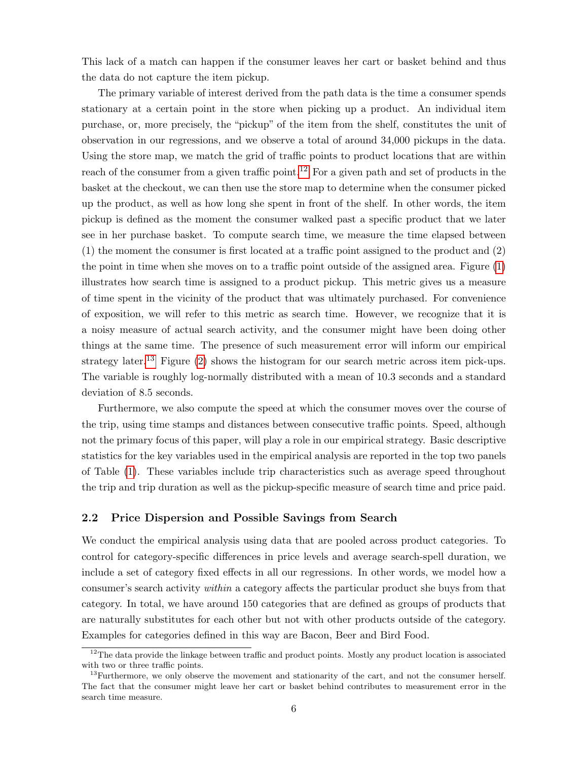This lack of a match can happen if the consumer leaves her cart or basket behind and thus the data do not capture the item pickup.

The primary variable of interest derived from the path data is the time a consumer spends stationary at a certain point in the store when picking up a product. An individual item purchase, or, more precisely, the "pickup" of the item from the shelf, constitutes the unit of observation in our regressions, and we observe a total of around 34,000 pickups in the data. Using the store map, we match the grid of traffic points to product locations that are within reach of the consumer from a given traffic point.<sup>[12](#page--1-0)</sup> For a given path and set of products in the basket at the checkout, we can then use the store map to determine when the consumer picked up the product, as well as how long she spent in front of the shelf. In other words, the item pickup is defined as the moment the consumer walked past a specific product that we later see in her purchase basket. To compute search time, we measure the time elapsed between (1) the moment the consumer is first located at a traffic point assigned to the product and (2) the point in time when she moves on to a traffic point outside of the assigned area. Figure [\(1\)](#page-34-0) illustrates how search time is assigned to a product pickup. This metric gives us a measure of time spent in the vicinity of the product that was ultimately purchased. For convenience of exposition, we will refer to this metric as search time. However, we recognize that it is a noisy measure of actual search activity, and the consumer might have been doing other things at the same time. The presence of such measurement error will inform our empirical strategy later.<sup>[13](#page--1-0)</sup> Figure  $(2)$  shows the histogram for our search metric across item pick-ups. The variable is roughly log-normally distributed with a mean of 10.3 seconds and a standard deviation of 8.5 seconds.

Furthermore, we also compute the speed at which the consumer moves over the course of the trip, using time stamps and distances between consecutive traffic points. Speed, although not the primary focus of this paper, will play a role in our empirical strategy. Basic descriptive statistics for the key variables used in the empirical analysis are reported in the top two panels of Table [\(1\)](#page-30-0). These variables include trip characteristics such as average speed throughout the trip and trip duration as well as the pickup-specific measure of search time and price paid.

### <span id="page-7-0"></span>2.2 Price Dispersion and Possible Savings from Search

We conduct the empirical analysis using data that are pooled across product categories. To control for category-specific differences in price levels and average search-spell duration, we include a set of category fixed effects in all our regressions. In other words, we model how a consumer's search activity within a category affects the particular product she buys from that category. In total, we have around 150 categories that are defined as groups of products that are naturally substitutes for each other but not with other products outside of the category. Examples for categories defined in this way are Bacon, Beer and Bird Food.

<sup>&</sup>lt;sup>12</sup>The data provide the linkage between traffic and product points. Mostly any product location is associated with two or three traffic points.

 $13$ Furthermore, we only observe the movement and stationarity of the cart, and not the consumer herself. The fact that the consumer might leave her cart or basket behind contributes to measurement error in the search time measure.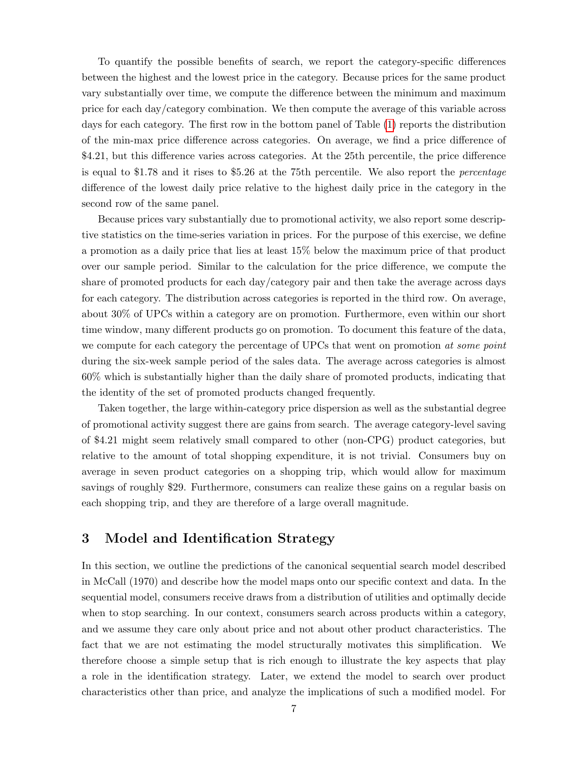To quantify the possible benefits of search, we report the category-specific differences between the highest and the lowest price in the category. Because prices for the same product vary substantially over time, we compute the difference between the minimum and maximum price for each day/category combination. We then compute the average of this variable across days for each category. The first row in the bottom panel of Table [\(1\)](#page-30-0) reports the distribution of the min-max price difference across categories. On average, we find a price difference of \$4.21, but this difference varies across categories. At the 25th percentile, the price difference is equal to \$1.78 and it rises to \$5.26 at the 75th percentile. We also report the percentage difference of the lowest daily price relative to the highest daily price in the category in the second row of the same panel.

Because prices vary substantially due to promotional activity, we also report some descriptive statistics on the time-series variation in prices. For the purpose of this exercise, we define a promotion as a daily price that lies at least 15% below the maximum price of that product over our sample period. Similar to the calculation for the price difference, we compute the share of promoted products for each day/category pair and then take the average across days for each category. The distribution across categories is reported in the third row. On average, about 30% of UPCs within a category are on promotion. Furthermore, even within our short time window, many different products go on promotion. To document this feature of the data, we compute for each category the percentage of UPCs that went on promotion at some point during the six-week sample period of the sales data. The average across categories is almost 60% which is substantially higher than the daily share of promoted products, indicating that the identity of the set of promoted products changed frequently.

Taken together, the large within-category price dispersion as well as the substantial degree of promotional activity suggest there are gains from search. The average category-level saving of \$4.21 might seem relatively small compared to other (non-CPG) product categories, but relative to the amount of total shopping expenditure, it is not trivial. Consumers buy on average in seven product categories on a shopping trip, which would allow for maximum savings of roughly \$29. Furthermore, consumers can realize these gains on a regular basis on each shopping trip, and they are therefore of a large overall magnitude.

# <span id="page-8-0"></span>3 Model and Identification Strategy

In this section, we outline the predictions of the canonical sequential search model described in McCall (1970) and describe how the model maps onto our specific context and data. In the sequential model, consumers receive draws from a distribution of utilities and optimally decide when to stop searching. In our context, consumers search across products within a category, and we assume they care only about price and not about other product characteristics. The fact that we are not estimating the model structurally motivates this simplification. We therefore choose a simple setup that is rich enough to illustrate the key aspects that play a role in the identification strategy. Later, we extend the model to search over product characteristics other than price, and analyze the implications of such a modified model. For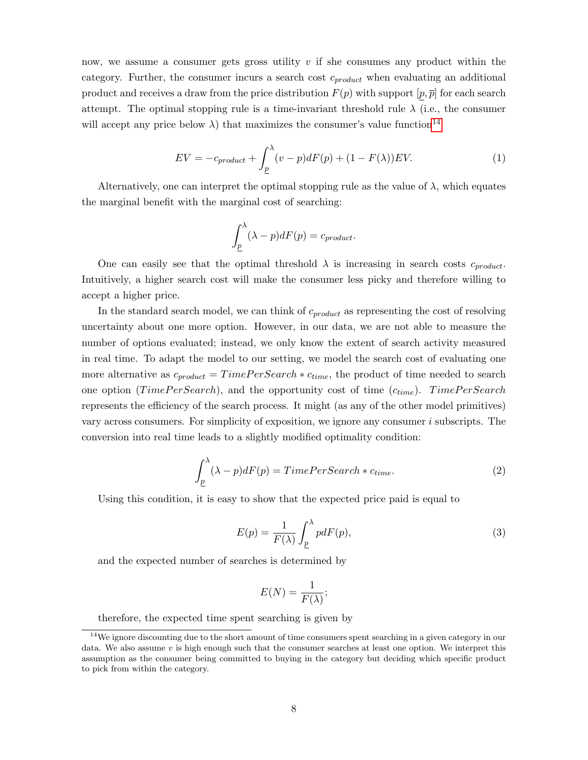now, we assume a consumer gets gross utility  $v$  if she consumes any product within the category. Further, the consumer incurs a search cost  $c_{product}$  when evaluating an additional product and receives a draw from the price distribution  $F(p)$  with support  $[p, \overline{p}]$  for each search attempt. The optimal stopping rule is a time-invariant threshold rule  $\lambda$  (i.e., the consumer will accept any price below  $\lambda$ ) that maximizes the consumer's value function<sup>[14](#page--1-0)</sup>

<span id="page-9-2"></span>
$$
EV = -c_{product} + \int_{\underline{p}}^{\lambda} (v - p) dF(p) + (1 - F(\lambda)) EV.
$$
 (1)

Alternatively, one can interpret the optimal stopping rule as the value of  $\lambda$ , which equates the marginal benefit with the marginal cost of searching:

$$
\int_{\underline{p}}^{\lambda} (\lambda - p) dF(p) = c_{product}.
$$

One can easily see that the optimal threshold  $\lambda$  is increasing in search costs  $c_{product}$ . Intuitively, a higher search cost will make the consumer less picky and therefore willing to accept a higher price.

In the standard search model, we can think of  $c_{product}$  as representing the cost of resolving uncertainty about one more option. However, in our data, we are not able to measure the number of options evaluated; instead, we only know the extent of search activity measured in real time. To adapt the model to our setting, we model the search cost of evaluating one more alternative as  $c_{product} = TimePerSearch * c_{time}$ , the product of time needed to search one option (TimePerSearch), and the opportunity cost of time  $(c_{time})$ . TimePerSearch represents the efficiency of the search process. It might (as any of the other model primitives) vary across consumers. For simplicity of exposition, we ignore any consumer  $i$  subscripts. The conversion into real time leads to a slightly modified optimality condition:

<span id="page-9-0"></span>
$$
\int_{\underline{p}}^{\lambda} (\lambda - p) dF(p) = TimePerSearch * c_{time}.
$$
\n(2)

Using this condition, it is easy to show that the expected price paid is equal to

<span id="page-9-1"></span>
$$
E(p) = \frac{1}{F(\lambda)} \int_{\underline{p}}^{\lambda} p dF(p), \qquad (3)
$$

and the expected number of searches is determined by

$$
E(N) = \frac{1}{F(\lambda)};
$$

therefore, the expected time spent searching is given by

<sup>&</sup>lt;sup>14</sup>We ignore discounting due to the short amount of time consumers spent searching in a given category in our data. We also assume  $v$  is high enough such that the consumer searches at least one option. We interpret this assumption as the consumer being committed to buying in the category but deciding which specific product to pick from within the category.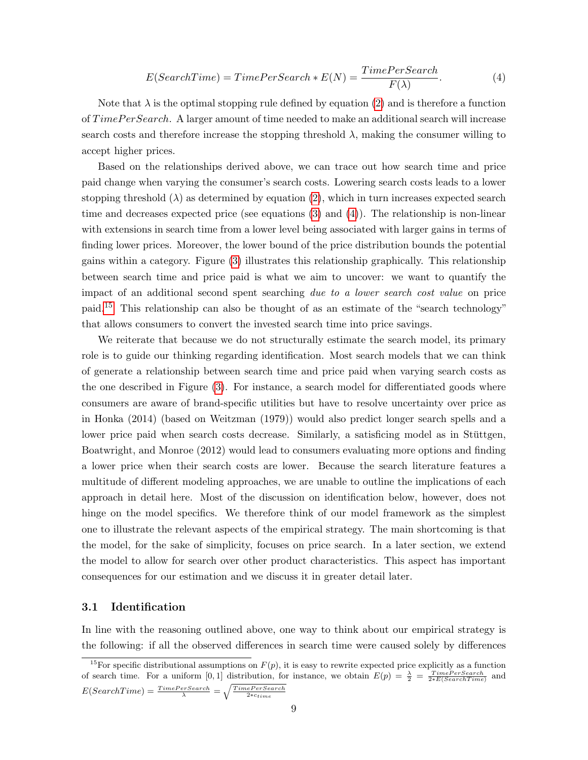<span id="page-10-0"></span>
$$
E(SearchTime) = TimePerSearch * E(N) = \frac{TimePerSearch}{F(\lambda)}.
$$
\n(4)

Note that  $\lambda$  is the optimal stopping rule defined by equation [\(2\)](#page-9-0) and is therefore a function of  $TimePerSearch$ . A larger amount of time needed to make an additional search will increase search costs and therefore increase the stopping threshold  $\lambda$ , making the consumer willing to accept higher prices.

Based on the relationships derived above, we can trace out how search time and price paid change when varying the consumer's search costs. Lowering search costs leads to a lower stopping threshold  $(\lambda)$  as determined by equation [\(2\)](#page-9-0), which in turn increases expected search time and decreases expected price (see equations [\(3\)](#page-9-1) and [\(4\)](#page-10-0)). The relationship is non-linear with extensions in search time from a lower level being associated with larger gains in terms of finding lower prices. Moreover, the lower bound of the price distribution bounds the potential gains within a category. Figure [\(3\)](#page-35-0) illustrates this relationship graphically. This relationship between search time and price paid is what we aim to uncover: we want to quantify the impact of an additional second spent searching due to a lower search cost value on price paid.[15](#page--1-0) This relationship can also be thought of as an estimate of the "search technology" that allows consumers to convert the invested search time into price savings.

We reiterate that because we do not structurally estimate the search model, its primary role is to guide our thinking regarding identification. Most search models that we can think of generate a relationship between search time and price paid when varying search costs as the one described in Figure [\(3\)](#page-35-0). For instance, a search model for differentiated goods where consumers are aware of brand-specific utilities but have to resolve uncertainty over price as in Honka (2014) (based on Weitzman (1979)) would also predict longer search spells and a lower price paid when search costs decrease. Similarly, a satisficing model as in Stüttgen, Boatwright, and Monroe (2012) would lead to consumers evaluating more options and finding a lower price when their search costs are lower. Because the search literature features a multitude of different modeling approaches, we are unable to outline the implications of each approach in detail here. Most of the discussion on identification below, however, does not hinge on the model specifics. We therefore think of our model framework as the simplest one to illustrate the relevant aspects of the empirical strategy. The main shortcoming is that the model, for the sake of simplicity, focuses on price search. In a later section, we extend the model to allow for search over other product characteristics. This aspect has important consequences for our estimation and we discuss it in greater detail later.

### 3.1 Identification

In line with the reasoning outlined above, one way to think about our empirical strategy is the following: if all the observed differences in search time were caused solely by differences

<sup>&</sup>lt;sup>15</sup>For specific distributional assumptions on  $F(p)$ , it is easy to rewrite expected price explicitly as a function of search time. For a uniform [0,1] distribution, for instance, we obtain  $E(p) = \frac{\lambda}{2} = \frac{TimePerSearch}{2*E(SearchTime)}$  and  $E(SearchTime) = \frac{TimePerSearch}{\lambda} = \sqrt{\frac{TimePerSearch}{2*ctime}}$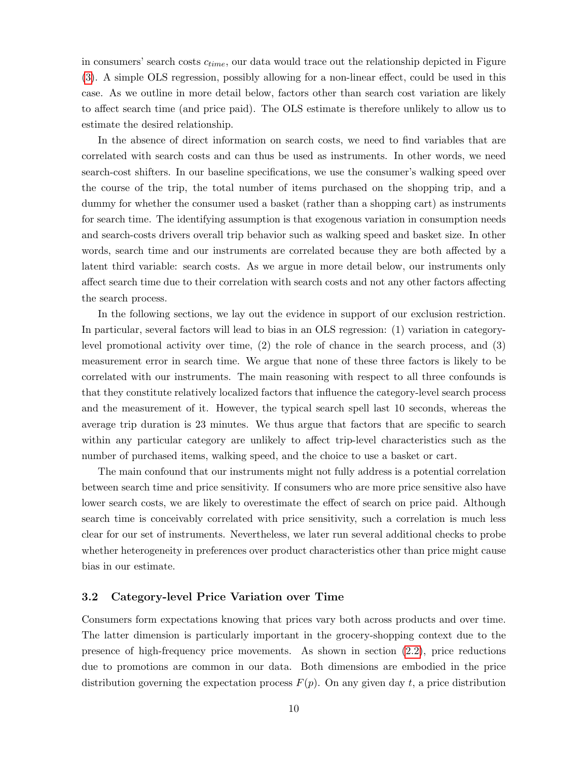in consumers' search costs  $c_{time}$ , our data would trace out the relationship depicted in Figure [\(3\)](#page-35-0). A simple OLS regression, possibly allowing for a non-linear effect, could be used in this case. As we outline in more detail below, factors other than search cost variation are likely to affect search time (and price paid). The OLS estimate is therefore unlikely to allow us to estimate the desired relationship.

In the absence of direct information on search costs, we need to find variables that are correlated with search costs and can thus be used as instruments. In other words, we need search-cost shifters. In our baseline specifications, we use the consumer's walking speed over the course of the trip, the total number of items purchased on the shopping trip, and a dummy for whether the consumer used a basket (rather than a shopping cart) as instruments for search time. The identifying assumption is that exogenous variation in consumption needs and search-costs drivers overall trip behavior such as walking speed and basket size. In other words, search time and our instruments are correlated because they are both affected by a latent third variable: search costs. As we argue in more detail below, our instruments only affect search time due to their correlation with search costs and not any other factors affecting the search process.

In the following sections, we lay out the evidence in support of our exclusion restriction. In particular, several factors will lead to bias in an OLS regression: (1) variation in categorylevel promotional activity over time, (2) the role of chance in the search process, and (3) measurement error in search time. We argue that none of these three factors is likely to be correlated with our instruments. The main reasoning with respect to all three confounds is that they constitute relatively localized factors that influence the category-level search process and the measurement of it. However, the typical search spell last 10 seconds, whereas the average trip duration is 23 minutes. We thus argue that factors that are specific to search within any particular category are unlikely to affect trip-level characteristics such as the number of purchased items, walking speed, and the choice to use a basket or cart.

The main confound that our instruments might not fully address is a potential correlation between search time and price sensitivity. If consumers who are more price sensitive also have lower search costs, we are likely to overestimate the effect of search on price paid. Although search time is conceivably correlated with price sensitivity, such a correlation is much less clear for our set of instruments. Nevertheless, we later run several additional checks to probe whether heterogeneity in preferences over product characteristics other than price might cause bias in our estimate.

## 3.2 Category-level Price Variation over Time

Consumers form expectations knowing that prices vary both across products and over time. The latter dimension is particularly important in the grocery-shopping context due to the presence of high-frequency price movements. As shown in section [\(2.2\)](#page-7-0), price reductions due to promotions are common in our data. Both dimensions are embodied in the price distribution governing the expectation process  $F(p)$ . On any given day t, a price distribution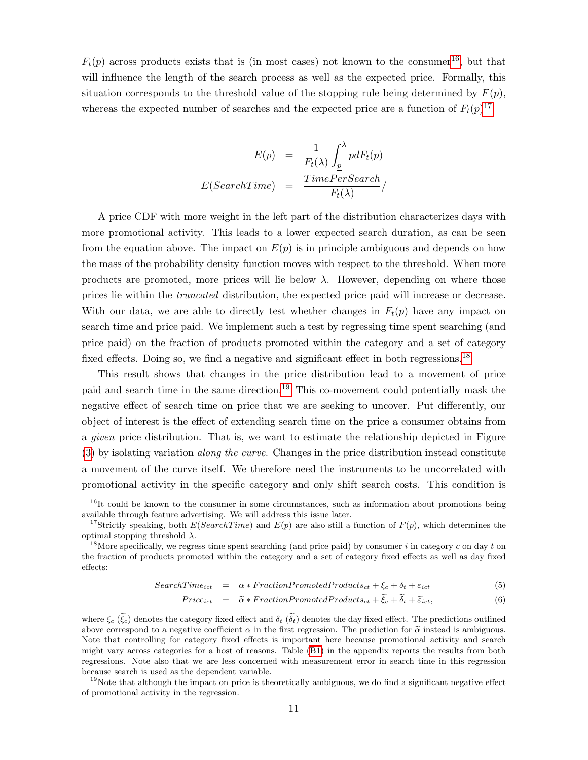$F_t(p)$  across products exists that is (in most cases) not known to the consumer<sup>[16](#page--1-0)</sup>, but that will influence the length of the search process as well as the expected price. Formally, this situation corresponds to the threshold value of the stopping rule being determined by  $F(p)$ , whereas the expected number of searches and the expected price are a function of  $F_t(p)^{17}$  $F_t(p)^{17}$  $F_t(p)^{17}$ :

$$
E(p) = \frac{1}{F_t(\lambda)} \int_{p}^{\lambda} p dF_t(p)
$$

$$
E(SearchTime) = \frac{TimePerSearch}{F_t(\lambda)}/
$$

A price CDF with more weight in the left part of the distribution characterizes days with more promotional activity. This leads to a lower expected search duration, as can be seen from the equation above. The impact on  $E(p)$  is in principle ambiguous and depends on how the mass of the probability density function moves with respect to the threshold. When more products are promoted, more prices will lie below  $\lambda$ . However, depending on where those prices lie within the truncated distribution, the expected price paid will increase or decrease. With our data, we are able to directly test whether changes in  $F_t(p)$  have any impact on search time and price paid. We implement such a test by regressing time spent searching (and price paid) on the fraction of products promoted within the category and a set of category fixed effects. Doing so, we find a negative and significant effect in both regressions.<sup>[18](#page--1-0)</sup>

This result shows that changes in the price distribution lead to a movement of price paid and search time in the same direction.[19](#page--1-0) This co-movement could potentially mask the negative effect of search time on price that we are seeking to uncover. Put differently, our object of interest is the effect of extending search time on the price a consumer obtains from a *given* price distribution. That is, we want to estimate the relationship depicted in Figure  $(3)$  by isolating variation *along the curve.* Changes in the price distribution instead constitute a movement of the curve itself. We therefore need the instruments to be uncorrelated with promotional activity in the specific category and only shift search costs. This condition is

$$
SearchTime_{ict} = \alpha * FractionPromotedProducts_{ct} + \xi_c + \delta_t + \varepsilon_{ict}
$$
\n(5)

$$
Price_{ict} = \tilde{\alpha} * Fraction Promoted Products_{ct} + \tilde{\xi}_{c} + \tilde{\delta}_{t} + \tilde{\epsilon}_{ict},
$$
\n(6)

where  $\xi_c$  ( $\tilde{\xi}_c$ ) denotes the category fixed effect and  $\delta_t$  ( $\delta_t$ ) denotes the day fixed effect. The predictions outlined above correspond to a negative coefficient  $\alpha$  in the first regression. The prediction for  $\tilde{\alpha}$  instead is ambiguous. Note that controlling for category fixed effects is important here because promotional activity and search might vary across categories for a host of reasons. Table [\(B1\)](#page-30-0) in the appendix reports the results from both regressions. Note also that we are less concerned with measurement error in search time in this regression because search is used as the dependent variable.

 $16$ It could be known to the consumer in some circumstances, such as information about promotions being available through feature advertising. We will address this issue later.

<sup>&</sup>lt;sup>17</sup>Strictly speaking, both  $E(SearchTime)$  and  $E(p)$  are also still a function of  $F(p)$ , which determines the optimal stopping threshold  $\lambda$ .

<sup>&</sup>lt;sup>18</sup>More specifically, we regress time spent searching (and price paid) by consumer i in category c on day t on the fraction of products promoted within the category and a set of category fixed effects as well as day fixed effects:

 $19$ Note that although the impact on price is theoretically ambiguous, we do find a significant negative effect of promotional activity in the regression.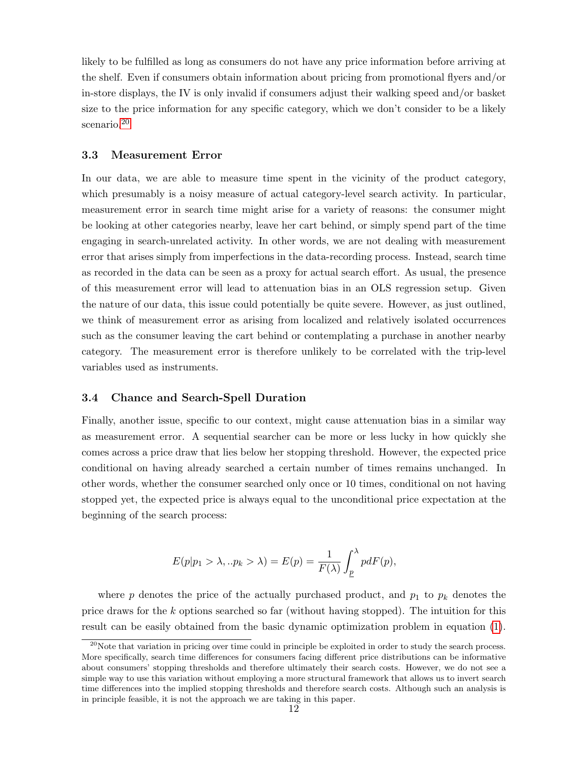likely to be fulfilled as long as consumers do not have any price information before arriving at the shelf. Even if consumers obtain information about pricing from promotional flyers and/or in-store displays, the IV is only invalid if consumers adjust their walking speed and/or basket size to the price information for any specific category, which we don't consider to be a likely scenario.<sup>[20](#page--1-0)</sup>

#### 3.3 Measurement Error

In our data, we are able to measure time spent in the vicinity of the product category, which presumably is a noisy measure of actual category-level search activity. In particular, measurement error in search time might arise for a variety of reasons: the consumer might be looking at other categories nearby, leave her cart behind, or simply spend part of the time engaging in search-unrelated activity. In other words, we are not dealing with measurement error that arises simply from imperfections in the data-recording process. Instead, search time as recorded in the data can be seen as a proxy for actual search effort. As usual, the presence of this measurement error will lead to attenuation bias in an OLS regression setup. Given the nature of our data, this issue could potentially be quite severe. However, as just outlined, we think of measurement error as arising from localized and relatively isolated occurrences such as the consumer leaving the cart behind or contemplating a purchase in another nearby category. The measurement error is therefore unlikely to be correlated with the trip-level variables used as instruments.

## 3.4 Chance and Search-Spell Duration

Finally, another issue, specific to our context, might cause attenuation bias in a similar way as measurement error. A sequential searcher can be more or less lucky in how quickly she comes across a price draw that lies below her stopping threshold. However, the expected price conditional on having already searched a certain number of times remains unchanged. In other words, whether the consumer searched only once or 10 times, conditional on not having stopped yet, the expected price is always equal to the unconditional price expectation at the beginning of the search process:

$$
E(p|p_1 > \lambda, .. p_k > \lambda) = E(p) = \frac{1}{F(\lambda)} \int_p^{\lambda} p dF(p),
$$

where p denotes the price of the actually purchased product, and  $p_1$  to  $p_k$  denotes the price draws for the k options searched so far (without having stopped). The intuition for this result can be easily obtained from the basic dynamic optimization problem in equation [\(1\)](#page-9-2).

 $^{20}$ Note that variation in pricing over time could in principle be exploited in order to study the search process. More specifically, search time differences for consumers facing different price distributions can be informative about consumers' stopping thresholds and therefore ultimately their search costs. However, we do not see a simple way to use this variation without employing a more structural framework that allows us to invert search time differences into the implied stopping thresholds and therefore search costs. Although such an analysis is in principle feasible, it is not the approach we are taking in this paper.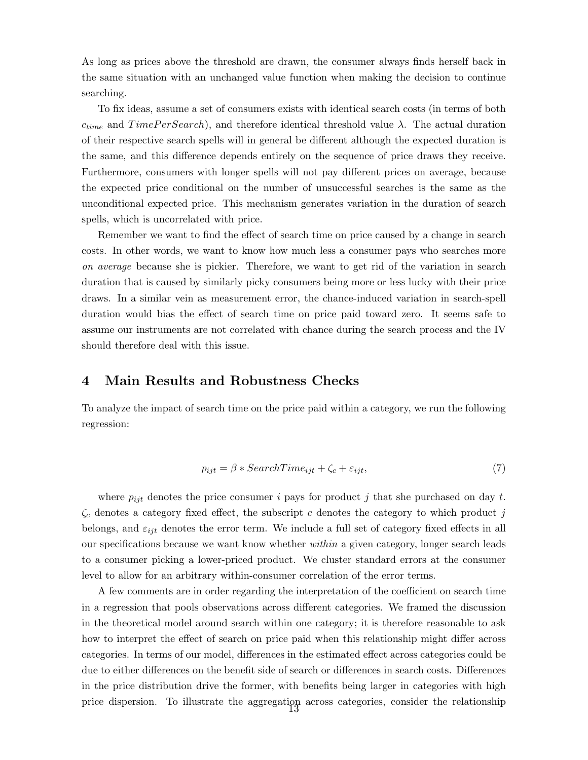As long as prices above the threshold are drawn, the consumer always finds herself back in the same situation with an unchanged value function when making the decision to continue searching.

To fix ideas, assume a set of consumers exists with identical search costs (in terms of both  $c_{time}$  and  $TimePer Search$ ), and therefore identical threshold value  $\lambda$ . The actual duration of their respective search spells will in general be different although the expected duration is the same, and this difference depends entirely on the sequence of price draws they receive. Furthermore, consumers with longer spells will not pay different prices on average, because the expected price conditional on the number of unsuccessful searches is the same as the unconditional expected price. This mechanism generates variation in the duration of search spells, which is uncorrelated with price.

Remember we want to find the effect of search time on price caused by a change in search costs. In other words, we want to know how much less a consumer pays who searches more on average because she is pickier. Therefore, we want to get rid of the variation in search duration that is caused by similarly picky consumers being more or less lucky with their price draws. In a similar vein as measurement error, the chance-induced variation in search-spell duration would bias the effect of search time on price paid toward zero. It seems safe to assume our instruments are not correlated with chance during the search process and the IV should therefore deal with this issue.

## <span id="page-14-0"></span>4 Main Results and Robustness Checks

To analyze the impact of search time on the price paid within a category, we run the following regression:

<span id="page-14-1"></span>
$$
p_{ijt} = \beta * SearchTime_{ijt} + \zeta_c + \varepsilon_{ijt},\tag{7}
$$

where  $p_{ijt}$  denotes the price consumer i pays for product j that she purchased on day t.  $\zeta_c$  denotes a category fixed effect, the subscript c denotes the category to which product j belongs, and  $\varepsilon_{ijt}$  denotes the error term. We include a full set of category fixed effects in all our specifications because we want know whether within a given category, longer search leads to a consumer picking a lower-priced product. We cluster standard errors at the consumer level to allow for an arbitrary within-consumer correlation of the error terms.

A few comments are in order regarding the interpretation of the coefficient on search time in a regression that pools observations across different categories. We framed the discussion in the theoretical model around search within one category; it is therefore reasonable to ask how to interpret the effect of search on price paid when this relationship might differ across categories. In terms of our model, differences in the estimated effect across categories could be due to either differences on the benefit side of search or differences in search costs. Differences in the price distribution drive the former, with benefits being larger in categories with high price dispersion. To illustrate the aggregation across categories, consider the relationship 13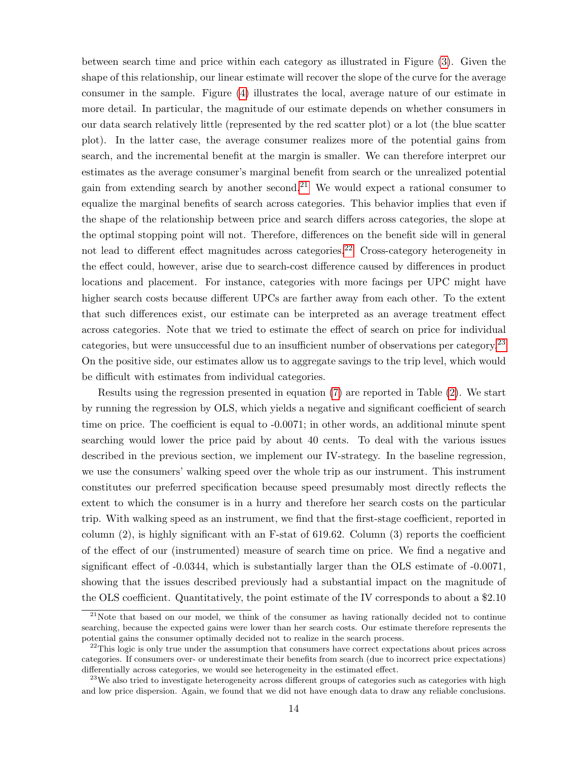between search time and price within each category as illustrated in Figure [\(3\)](#page-35-0). Given the shape of this relationship, our linear estimate will recover the slope of the curve for the average consumer in the sample. Figure [\(4\)](#page-35-1) illustrates the local, average nature of our estimate in more detail. In particular, the magnitude of our estimate depends on whether consumers in our data search relatively little (represented by the red scatter plot) or a lot (the blue scatter plot). In the latter case, the average consumer realizes more of the potential gains from search, and the incremental benefit at the margin is smaller. We can therefore interpret our estimates as the average consumer's marginal benefit from search or the unrealized potential gain from extending search by another second.<sup>[21](#page--1-0)</sup> We would expect a rational consumer to equalize the marginal benefits of search across categories. This behavior implies that even if the shape of the relationship between price and search differs across categories, the slope at the optimal stopping point will not. Therefore, differences on the benefit side will in general not lead to different effect magnitudes across categories.<sup>[22](#page--1-0)</sup> Cross-category heterogeneity in the effect could, however, arise due to search-cost difference caused by differences in product locations and placement. For instance, categories with more facings per UPC might have higher search costs because different UPCs are farther away from each other. To the extent that such differences exist, our estimate can be interpreted as an average treatment effect across categories. Note that we tried to estimate the effect of search on price for individual categories, but were unsuccessful due to an insufficient number of observations per category.[23](#page--1-0) On the positive side, our estimates allow us to aggregate savings to the trip level, which would be difficult with estimates from individual categories.

Results using the regression presented in equation [\(7\)](#page-14-1) are reported in Table [\(2\)](#page-31-0). We start by running the regression by OLS, which yields a negative and significant coefficient of search time on price. The coefficient is equal to -0.0071; in other words, an additional minute spent searching would lower the price paid by about 40 cents. To deal with the various issues described in the previous section, we implement our IV-strategy. In the baseline regression, we use the consumers' walking speed over the whole trip as our instrument. This instrument constitutes our preferred specification because speed presumably most directly reflects the extent to which the consumer is in a hurry and therefore her search costs on the particular trip. With walking speed as an instrument, we find that the first-stage coefficient, reported in column  $(2)$ , is highly significant with an F-stat of 619.62. Column  $(3)$  reports the coefficient of the effect of our (instrumented) measure of search time on price. We find a negative and significant effect of -0.0344, which is substantially larger than the OLS estimate of -0.0071, showing that the issues described previously had a substantial impact on the magnitude of the OLS coefficient. Quantitatively, the point estimate of the IV corresponds to about a \$2.10

 $21$ Note that based on our model, we think of the consumer as having rationally decided not to continue searching, because the expected gains were lower than her search costs. Our estimate therefore represents the potential gains the consumer optimally decided not to realize in the search process.

 $^{22}$ This logic is only true under the assumption that consumers have correct expectations about prices across categories. If consumers over- or underestimate their benefits from search (due to incorrect price expectations) differentially across categories, we would see heterogeneity in the estimated effect.

<sup>&</sup>lt;sup>23</sup>We also tried to investigate heterogeneity across different groups of categories such as categories with high and low price dispersion. Again, we found that we did not have enough data to draw any reliable conclusions.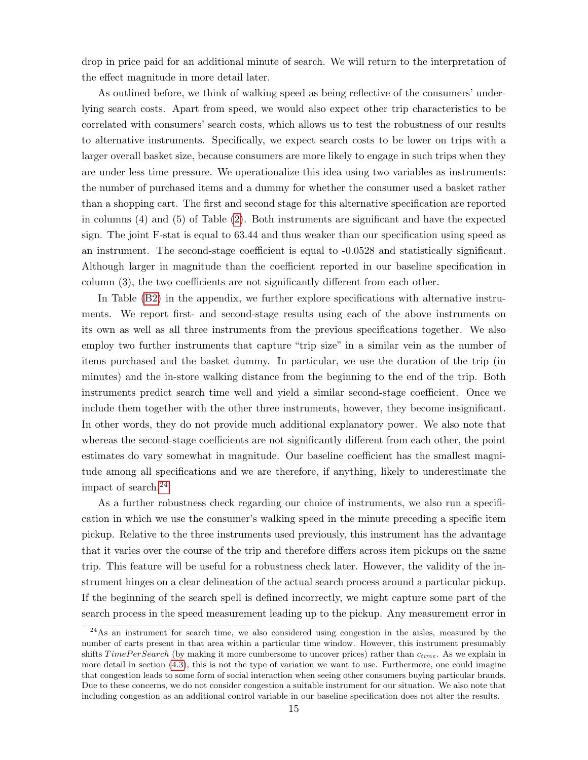drop in price paid for an additional minute of search. We will return to the interpretation of the effect magnitude in more detail later.

As outlined before, we think of walking speed as being reflective of the consumers' underlying search costs. Apart from speed, we would also expect other trip characteristics to be correlated with consumers' search costs, which allows us to test the robustness of our results to alternative instruments. Specifically, we expect search costs to be lower on trips with a larger overall basket size, because consumers are more likely to engage in such trips when they are under less time pressure. We operationalize this idea using two variables as instruments: the number of purchased items and a dummy for whether the consumer used a basket rather than a shopping cart. The first and second stage for this alternative specification are reported in columns (4) and (5) of Table [\(2\)](#page-31-0). Both instruments are significant and have the expected sign. The joint F-stat is equal to 63.44 and thus weaker than our specification using speed as an instrument. The second-stage coefficient is equal to -0.0528 and statistically significant. Although larger in magnitude than the coefficient reported in our baseline specification in column (3), the two coefficients are not significantly different from each other.

In Table [\(B2\)](#page-31-0) in the appendix, we further explore specifications with alternative instruments. We report first- and second-stage results using each of the above instruments on its own as well as all three instruments from the previous specifications together. We also employ two further instruments that capture "trip size" in a similar vein as the number of items purchased and the basket dummy. In particular, we use the duration of the trip (in minutes) and the in-store walking distance from the beginning to the end of the trip. Both instruments predict search time well and yield a similar second-stage coefficient. Once we include them together with the other three instruments, however, they become insignificant. In other words, they do not provide much additional explanatory power. We also note that whereas the second-stage coefficients are not significantly different from each other, the point estimates do vary somewhat in magnitude. Our baseline coefficient has the smallest magnitude among all specifications and we are therefore, if anything, likely to underestimate the impact of search.[24](#page--1-0)

As a further robustness check regarding our choice of instruments, we also run a specification in which we use the consumer's walking speed in the minute preceding a specific item pickup. Relative to the three instruments used previously, this instrument has the advantage that it varies over the course of the trip and therefore differs across item pickups on the same trip. This feature will be useful for a robustness check later. However, the validity of the instrument hinges on a clear delineation of the actual search process around a particular pickup. If the beginning of the search spell is defined incorrectly, we might capture some part of the search process in the speed measurement leading up to the pickup. Any measurement error in

<sup>&</sup>lt;sup>24</sup>As an instrument for search time, we also considered using congestion in the aisles, measured by the number of carts present in that area within a particular time window. However, this instrument presumably shifts  $TimePerSearch$  (by making it more cumbersome to uncover prices) rather than  $c_{time}$ . As we explain in more detail in section [\(4.3\)](#page-23-1), this is not the type of variation we want to use. Furthermore, one could imagine that congestion leads to some form of social interaction when seeing other consumers buying particular brands. Due to these concerns, we do not consider congestion a suitable instrument for our situation. We also note that including congestion as an additional control variable in our baseline specification does not alter the results.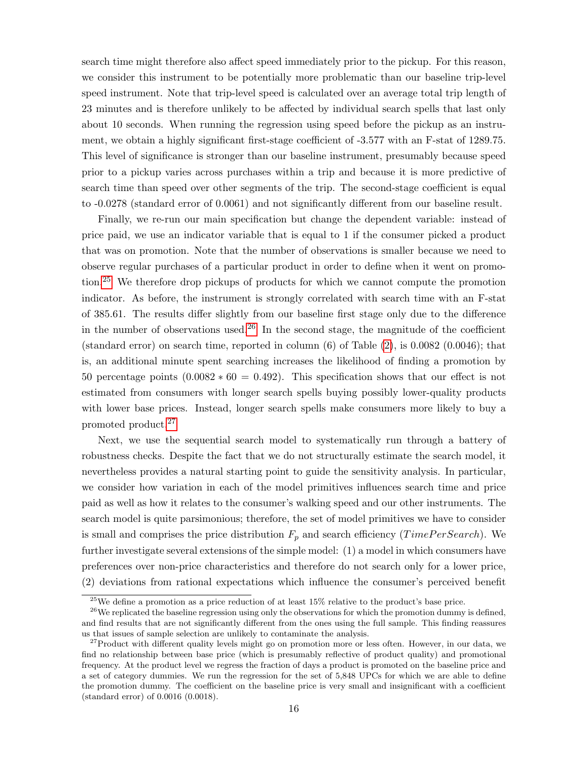search time might therefore also affect speed immediately prior to the pickup. For this reason, we consider this instrument to be potentially more problematic than our baseline trip-level speed instrument. Note that trip-level speed is calculated over an average total trip length of 23 minutes and is therefore unlikely to be affected by individual search spells that last only about 10 seconds. When running the regression using speed before the pickup as an instrument, we obtain a highly significant first-stage coefficient of -3.577 with an F-stat of 1289.75. This level of significance is stronger than our baseline instrument, presumably because speed prior to a pickup varies across purchases within a trip and because it is more predictive of search time than speed over other segments of the trip. The second-stage coefficient is equal to -0.0278 (standard error of 0.0061) and not significantly different from our baseline result.

Finally, we re-run our main specification but change the dependent variable: instead of price paid, we use an indicator variable that is equal to 1 if the consumer picked a product that was on promotion. Note that the number of observations is smaller because we need to observe regular purchases of a particular product in order to define when it went on promotion.[25](#page--1-0) We therefore drop pickups of products for which we cannot compute the promotion indicator. As before, the instrument is strongly correlated with search time with an F-stat of 385.61. The results differ slightly from our baseline first stage only due to the difference in the number of observations used.<sup>[26](#page--1-0)</sup> In the second stage, the magnitude of the coefficient (standard error) on search time, reported in column  $(6)$  of Table  $(2)$ , is 0.0082  $(0.0046)$ ; that is, an additional minute spent searching increases the likelihood of finding a promotion by 50 percentage points  $(0.0082 * 60 = 0.492)$ . This specification shows that our effect is not estimated from consumers with longer search spells buying possibly lower-quality products with lower base prices. Instead, longer search spells make consumers more likely to buy a promoted product.[27](#page--1-0)

Next, we use the sequential search model to systematically run through a battery of robustness checks. Despite the fact that we do not structurally estimate the search model, it nevertheless provides a natural starting point to guide the sensitivity analysis. In particular, we consider how variation in each of the model primitives influences search time and price paid as well as how it relates to the consumer's walking speed and our other instruments. The search model is quite parsimonious; therefore, the set of model primitives we have to consider is small and comprises the price distribution  $F_p$  and search efficiency (*TimePerSearch*). We further investigate several extensions of the simple model: (1) a model in which consumers have preferences over non-price characteristics and therefore do not search only for a lower price, (2) deviations from rational expectations which influence the consumer's perceived benefit

 $25$ We define a promotion as a price reduction of at least 15% relative to the product's base price.

 $^{26}$ We replicated the baseline regression using only the observations for which the promotion dummy is defined, and find results that are not significantly different from the ones using the full sample. This finding reassures us that issues of sample selection are unlikely to contaminate the analysis.

 $27$ Product with different quality levels might go on promotion more or less often. However, in our data, we find no relationship between base price (which is presumably reflective of product quality) and promotional frequency. At the product level we regress the fraction of days a product is promoted on the baseline price and a set of category dummies. We run the regression for the set of 5,848 UPCs for which we are able to define the promotion dummy. The coefficient on the baseline price is very small and insignificant with a coefficient (standard error) of 0.0016 (0.0018).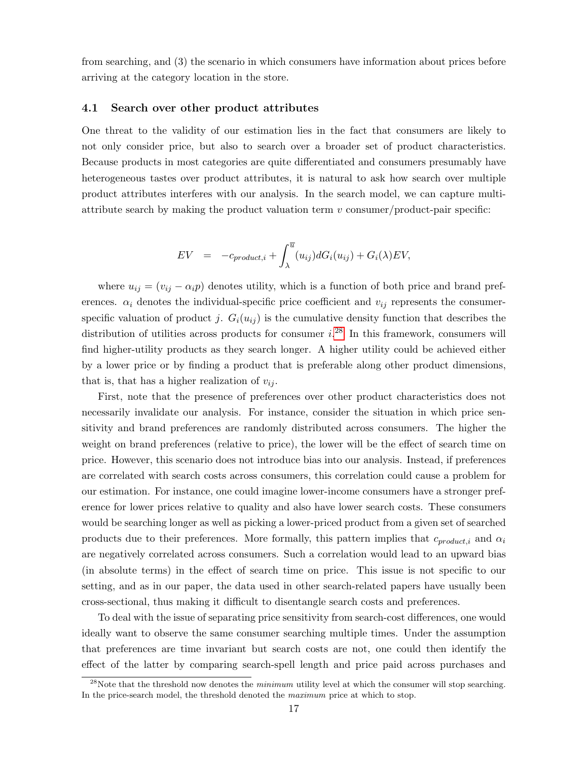from searching, and (3) the scenario in which consumers have information about prices before arriving at the category location in the store.

## 4.1 Search over other product attributes

One threat to the validity of our estimation lies in the fact that consumers are likely to not only consider price, but also to search over a broader set of product characteristics. Because products in most categories are quite differentiated and consumers presumably have heterogeneous tastes over product attributes, it is natural to ask how search over multiple product attributes interferes with our analysis. In the search model, we can capture multiattribute search by making the product valuation term  $v$  consumer/product-pair specific:

$$
EV = -c_{product,i} + \int_{\lambda}^{\overline{u}} (u_{ij}) dG_i(u_{ij}) + G_i(\lambda) EV,
$$

where  $u_{ij} = (v_{ij} - \alpha_i p)$  denotes utility, which is a function of both price and brand preferences.  $\alpha_i$  denotes the individual-specific price coefficient and  $v_{ij}$  represents the consumerspecific valuation of product j.  $G_i(u_{ij})$  is the cumulative density function that describes the distribution of utilities across products for consumer  $i^{28}$  $i^{28}$  $i^{28}$ . In this framework, consumers will find higher-utility products as they search longer. A higher utility could be achieved either by a lower price or by finding a product that is preferable along other product dimensions, that is, that has a higher realization of  $v_{ij}$ .

First, note that the presence of preferences over other product characteristics does not necessarily invalidate our analysis. For instance, consider the situation in which price sensitivity and brand preferences are randomly distributed across consumers. The higher the weight on brand preferences (relative to price), the lower will be the effect of search time on price. However, this scenario does not introduce bias into our analysis. Instead, if preferences are correlated with search costs across consumers, this correlation could cause a problem for our estimation. For instance, one could imagine lower-income consumers have a stronger preference for lower prices relative to quality and also have lower search costs. These consumers would be searching longer as well as picking a lower-priced product from a given set of searched products due to their preferences. More formally, this pattern implies that  $c_{product,i}$  and  $\alpha_i$ are negatively correlated across consumers. Such a correlation would lead to an upward bias (in absolute terms) in the effect of search time on price. This issue is not specific to our setting, and as in our paper, the data used in other search-related papers have usually been cross-sectional, thus making it difficult to disentangle search costs and preferences.

To deal with the issue of separating price sensitivity from search-cost differences, one would ideally want to observe the same consumer searching multiple times. Under the assumption that preferences are time invariant but search costs are not, one could then identify the effect of the latter by comparing search-spell length and price paid across purchases and

 $^{28}$ Note that the threshold now denotes the *minimum* utility level at which the consumer will stop searching. In the price-search model, the threshold denoted the maximum price at which to stop.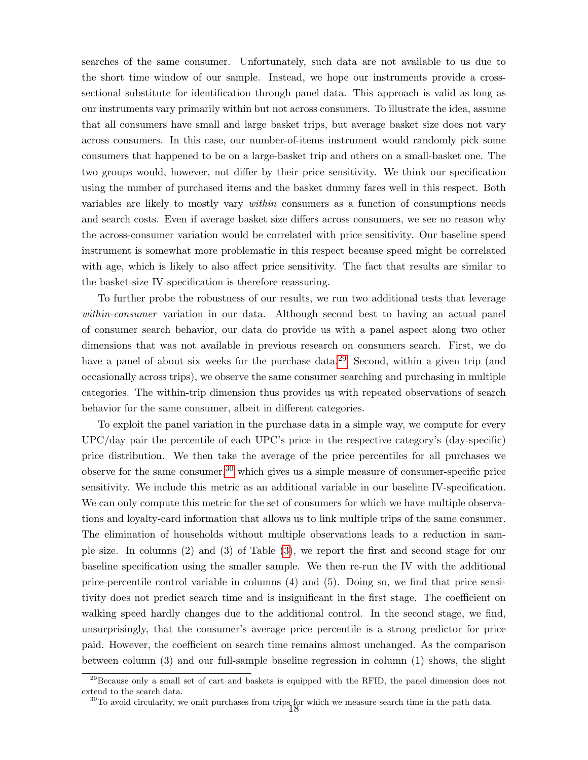searches of the same consumer. Unfortunately, such data are not available to us due to the short time window of our sample. Instead, we hope our instruments provide a crosssectional substitute for identification through panel data. This approach is valid as long as our instruments vary primarily within but not across consumers. To illustrate the idea, assume that all consumers have small and large basket trips, but average basket size does not vary across consumers. In this case, our number-of-items instrument would randomly pick some consumers that happened to be on a large-basket trip and others on a small-basket one. The two groups would, however, not differ by their price sensitivity. We think our specification using the number of purchased items and the basket dummy fares well in this respect. Both variables are likely to mostly vary within consumers as a function of consumptions needs and search costs. Even if average basket size differs across consumers, we see no reason why the across-consumer variation would be correlated with price sensitivity. Our baseline speed instrument is somewhat more problematic in this respect because speed might be correlated with age, which is likely to also affect price sensitivity. The fact that results are similar to the basket-size IV-specification is therefore reassuring.

To further probe the robustness of our results, we run two additional tests that leverage within-consumer variation in our data. Although second best to having an actual panel of consumer search behavior, our data do provide us with a panel aspect along two other dimensions that was not available in previous research on consumers search. First, we do have a panel of about six weeks for the purchase data.<sup>[29](#page--1-0)</sup> Second, within a given trip (and occasionally across trips), we observe the same consumer searching and purchasing in multiple categories. The within-trip dimension thus provides us with repeated observations of search behavior for the same consumer, albeit in different categories.

To exploit the panel variation in the purchase data in a simple way, we compute for every UPC/day pair the percentile of each UPC's price in the respective category's (day-specific) price distribution. We then take the average of the price percentiles for all purchases we observe for the same consumer,  $30$  which gives us a simple measure of consumer-specific price sensitivity. We include this metric as an additional variable in our baseline IV-specification. We can only compute this metric for the set of consumers for which we have multiple observations and loyalty-card information that allows us to link multiple trips of the same consumer. The elimination of households without multiple observations leads to a reduction in sample size. In columns (2) and (3) of Table [\(3\)](#page-32-0), we report the first and second stage for our baseline specification using the smaller sample. We then re-run the IV with the additional price-percentile control variable in columns (4) and (5). Doing so, we find that price sensitivity does not predict search time and is insignificant in the first stage. The coefficient on walking speed hardly changes due to the additional control. In the second stage, we find, unsurprisingly, that the consumer's average price percentile is a strong predictor for price paid. However, the coefficient on search time remains almost unchanged. As the comparison between column (3) and our full-sample baseline regression in column (1) shows, the slight

 $29$ Because only a small set of cart and baskets is equipped with the RFID, the panel dimension does not extend to the search data.

<sup>&</sup>lt;sup>30</sup>To avoid circularity, we omit purchases from trips for which we measure search time in the path data.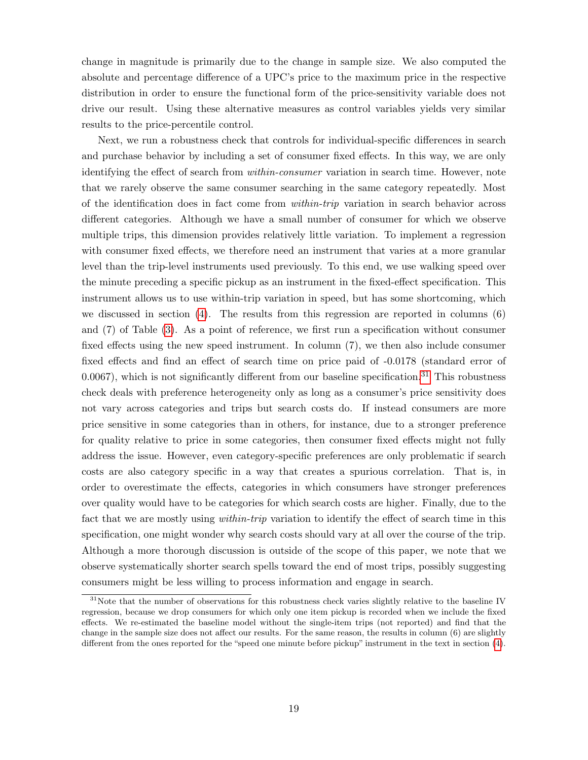change in magnitude is primarily due to the change in sample size. We also computed the absolute and percentage difference of a UPC's price to the maximum price in the respective distribution in order to ensure the functional form of the price-sensitivity variable does not drive our result. Using these alternative measures as control variables yields very similar results to the price-percentile control.

Next, we run a robustness check that controls for individual-specific differences in search and purchase behavior by including a set of consumer fixed effects. In this way, we are only identifying the effect of search from within-consumer variation in search time. However, note that we rarely observe the same consumer searching in the same category repeatedly. Most of the identification does in fact come from within-trip variation in search behavior across different categories. Although we have a small number of consumer for which we observe multiple trips, this dimension provides relatively little variation. To implement a regression with consumer fixed effects, we therefore need an instrument that varies at a more granular level than the trip-level instruments used previously. To this end, we use walking speed over the minute preceding a specific pickup as an instrument in the fixed-effect specification. This instrument allows us to use within-trip variation in speed, but has some shortcoming, which we discussed in section  $(4)$ . The results from this regression are reported in columns  $(6)$ and (7) of Table [\(3\)](#page-32-0). As a point of reference, we first run a specification without consumer fixed effects using the new speed instrument. In column (7), we then also include consumer fixed effects and find an effect of search time on price paid of -0.0178 (standard error of  $(0.0067)$ , which is not significantly different from our baseline specification.<sup>[31](#page--1-0)</sup> This robustness check deals with preference heterogeneity only as long as a consumer's price sensitivity does not vary across categories and trips but search costs do. If instead consumers are more price sensitive in some categories than in others, for instance, due to a stronger preference for quality relative to price in some categories, then consumer fixed effects might not fully address the issue. However, even category-specific preferences are only problematic if search costs are also category specific in a way that creates a spurious correlation. That is, in order to overestimate the effects, categories in which consumers have stronger preferences over quality would have to be categories for which search costs are higher. Finally, due to the fact that we are mostly using *within-trip* variation to identify the effect of search time in this specification, one might wonder why search costs should vary at all over the course of the trip. Although a more thorough discussion is outside of the scope of this paper, we note that we observe systematically shorter search spells toward the end of most trips, possibly suggesting consumers might be less willing to process information and engage in search.

<sup>&</sup>lt;sup>31</sup>Note that the number of observations for this robustness check varies slightly relative to the baseline IV regression, because we drop consumers for which only one item pickup is recorded when we include the fixed effects. We re-estimated the baseline model without the single-item trips (not reported) and find that the change in the sample size does not affect our results. For the same reason, the results in column (6) are slightly different from the ones reported for the "speed one minute before pickup" instrument in the text in section [\(4\)](#page-14-0).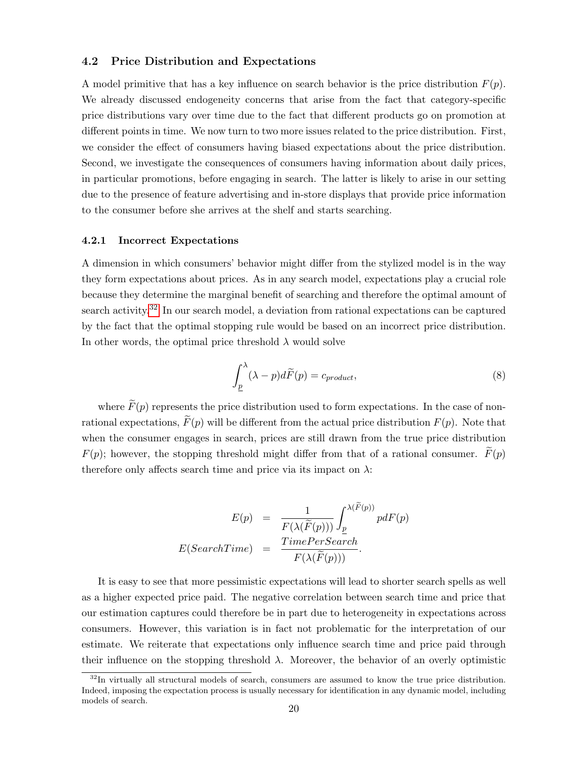#### 4.2 Price Distribution and Expectations

A model primitive that has a key influence on search behavior is the price distribution  $F(p)$ . We already discussed endogeneity concerns that arise from the fact that category-specific price distributions vary over time due to the fact that different products go on promotion at different points in time. We now turn to two more issues related to the price distribution. First, we consider the effect of consumers having biased expectations about the price distribution. Second, we investigate the consequences of consumers having information about daily prices, in particular promotions, before engaging in search. The latter is likely to arise in our setting due to the presence of feature advertising and in-store displays that provide price information to the consumer before she arrives at the shelf and starts searching.

#### 4.2.1 Incorrect Expectations

A dimension in which consumers' behavior might differ from the stylized model is in the way they form expectations about prices. As in any search model, expectations play a crucial role because they determine the marginal benefit of searching and therefore the optimal amount of search activity.<sup>[32](#page--1-0)</sup> In our search model, a deviation from rational expectations can be captured by the fact that the optimal stopping rule would be based on an incorrect price distribution. In other words, the optimal price threshold  $\lambda$  would solve

$$
\int_{\underline{p}}^{\lambda} (\lambda - p) d\widetilde{F}(p) = c_{product},\tag{8}
$$

where  $\widetilde{F}(p)$  represents the price distribution used to form expectations. In the case of nonrational expectations,  $\widetilde{F}(p)$  will be different from the actual price distribution  $F(p)$ . Note that when the consumer engages in search, prices are still drawn from the true price distribution  $F(p)$ ; however, the stopping threshold might differ from that of a rational consumer.  $\tilde{F}(p)$ therefore only affects search time and price via its impact on  $\lambda$ :

$$
E(p) = \frac{1}{F(\lambda(\widetilde{F}(p)))} \int_{\underline{p}}^{\lambda(\widetilde{F}(p))} pdF(p)
$$

$$
E(SearchTime) = \frac{TimePerSearch}{F(\lambda(\widetilde{F}(p)))}.
$$

It is easy to see that more pessimistic expectations will lead to shorter search spells as well as a higher expected price paid. The negative correlation between search time and price that our estimation captures could therefore be in part due to heterogeneity in expectations across consumers. However, this variation is in fact not problematic for the interpretation of our estimate. We reiterate that expectations only influence search time and price paid through their influence on the stopping threshold  $\lambda$ . Moreover, the behavior of an overly optimistic

 $32$ In virtually all structural models of search, consumers are assumed to know the true price distribution. Indeed, imposing the expectation process is usually necessary for identification in any dynamic model, including models of search.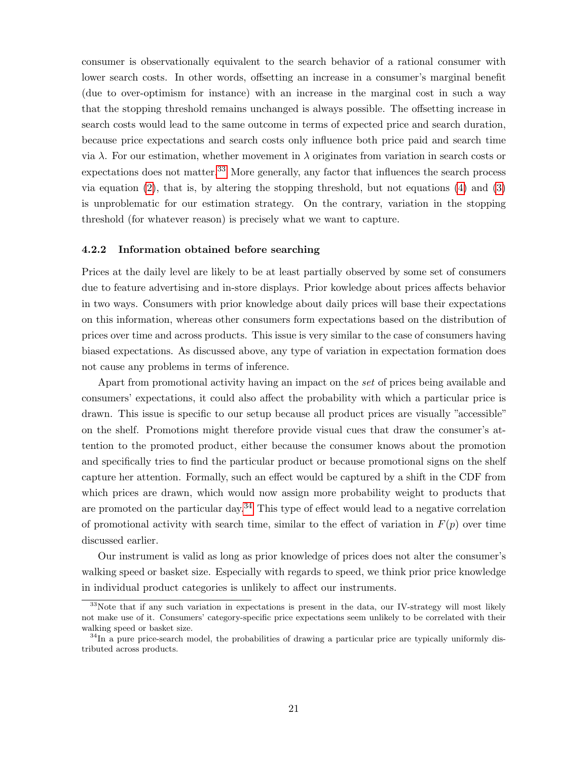consumer is observationally equivalent to the search behavior of a rational consumer with lower search costs. In other words, offsetting an increase in a consumer's marginal benefit (due to over-optimism for instance) with an increase in the marginal cost in such a way that the stopping threshold remains unchanged is always possible. The offsetting increase in search costs would lead to the same outcome in terms of expected price and search duration, because price expectations and search costs only influence both price paid and search time via λ. For our estimation, whether movement in λ originates from variation in search costs or expectations does not matter.<sup>[33](#page--1-0)</sup> More generally, any factor that influences the search process via equation  $(2)$ , that is, by altering the stopping threshold, but not equations  $(4)$  and  $(3)$ is unproblematic for our estimation strategy. On the contrary, variation in the stopping threshold (for whatever reason) is precisely what we want to capture.

#### 4.2.2 Information obtained before searching

Prices at the daily level are likely to be at least partially observed by some set of consumers due to feature advertising and in-store displays. Prior kowledge about prices affects behavior in two ways. Consumers with prior knowledge about daily prices will base their expectations on this information, whereas other consumers form expectations based on the distribution of prices over time and across products. This issue is very similar to the case of consumers having biased expectations. As discussed above, any type of variation in expectation formation does not cause any problems in terms of inference.

Apart from promotional activity having an impact on the set of prices being available and consumers' expectations, it could also affect the probability with which a particular price is drawn. This issue is specific to our setup because all product prices are visually "accessible" on the shelf. Promotions might therefore provide visual cues that draw the consumer's attention to the promoted product, either because the consumer knows about the promotion and specifically tries to find the particular product or because promotional signs on the shelf capture her attention. Formally, such an effect would be captured by a shift in the CDF from which prices are drawn, which would now assign more probability weight to products that are promoted on the particular day.<sup>[34](#page--1-0)</sup> This type of effect would lead to a negative correlation of promotional activity with search time, similar to the effect of variation in  $F(p)$  over time discussed earlier.

Our instrument is valid as long as prior knowledge of prices does not alter the consumer's walking speed or basket size. Especially with regards to speed, we think prior price knowledge in individual product categories is unlikely to affect our instruments.

<sup>&</sup>lt;sup>33</sup>Note that if any such variation in expectations is present in the data, our IV-strategy will most likely not make use of it. Consumers' category-specific price expectations seem unlikely to be correlated with their walking speed or basket size.

 $34$ In a pure price-search model, the probabilities of drawing a particular price are typically uniformly distributed across products.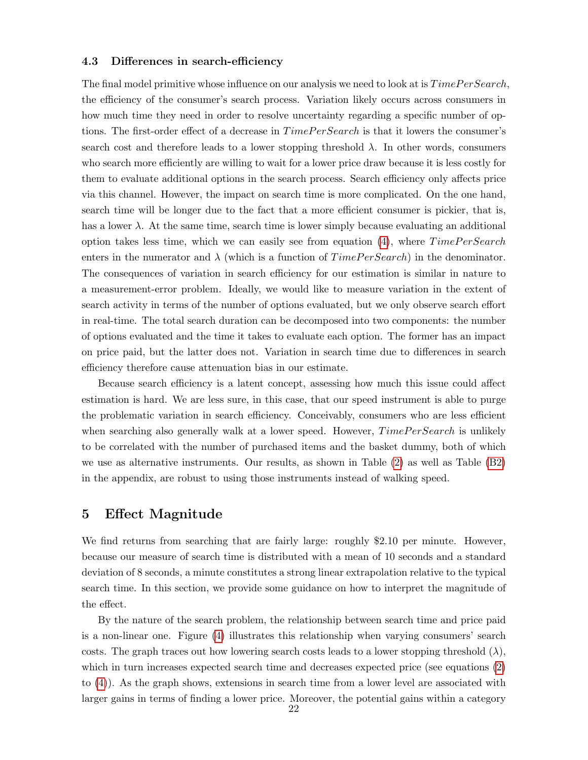### <span id="page-23-1"></span>4.3 Differences in search-efficiency

The final model primitive whose influence on our analysis we need to look at is  $TimePer Search$ , the efficiency of the consumer's search process. Variation likely occurs across consumers in how much time they need in order to resolve uncertainty regarding a specific number of options. The first-order effect of a decrease in  $TimePer Search$  is that it lowers the consumer's search cost and therefore leads to a lower stopping threshold  $\lambda$ . In other words, consumers who search more efficiently are willing to wait for a lower price draw because it is less costly for them to evaluate additional options in the search process. Search efficiency only affects price via this channel. However, the impact on search time is more complicated. On the one hand, search time will be longer due to the fact that a more efficient consumer is pickier, that is, has a lower  $\lambda$ . At the same time, search time is lower simply because evaluating an additional option takes less time, which we can easily see from equation  $(4)$ , where  $TimePer Search$ enters in the numerator and  $\lambda$  (which is a function of  $TimePerSearch$ ) in the denominator. The consequences of variation in search efficiency for our estimation is similar in nature to a measurement-error problem. Ideally, we would like to measure variation in the extent of search activity in terms of the number of options evaluated, but we only observe search effort in real-time. The total search duration can be decomposed into two components: the number of options evaluated and the time it takes to evaluate each option. The former has an impact on price paid, but the latter does not. Variation in search time due to differences in search efficiency therefore cause attenuation bias in our estimate.

Because search efficiency is a latent concept, assessing how much this issue could affect estimation is hard. We are less sure, in this case, that our speed instrument is able to purge the problematic variation in search efficiency. Conceivably, consumers who are less efficient when searching also generally walk at a lower speed. However,  $TimePer Search$  is unlikely to be correlated with the number of purchased items and the basket dummy, both of which we use as alternative instruments. Our results, as shown in Table [\(2\)](#page-31-0) as well as Table [\(B2\)](#page-31-0) in the appendix, are robust to using those instruments instead of walking speed.

## <span id="page-23-0"></span>5 Effect Magnitude

We find returns from searching that are fairly large: roughly \$2.10 per minute. However, because our measure of search time is distributed with a mean of 10 seconds and a standard deviation of 8 seconds, a minute constitutes a strong linear extrapolation relative to the typical search time. In this section, we provide some guidance on how to interpret the magnitude of the effect.

By the nature of the search problem, the relationship between search time and price paid is a non-linear one. Figure [\(4\)](#page-35-1) illustrates this relationship when varying consumers' search costs. The graph traces out how lowering search costs leads to a lower stopping threshold  $(\lambda)$ , which in turn increases expected search time and decreases expected price (see equations [\(2\)](#page-9-0) to [\(4\)](#page-10-0)). As the graph shows, extensions in search time from a lower level are associated with larger gains in terms of finding a lower price. Moreover, the potential gains within a category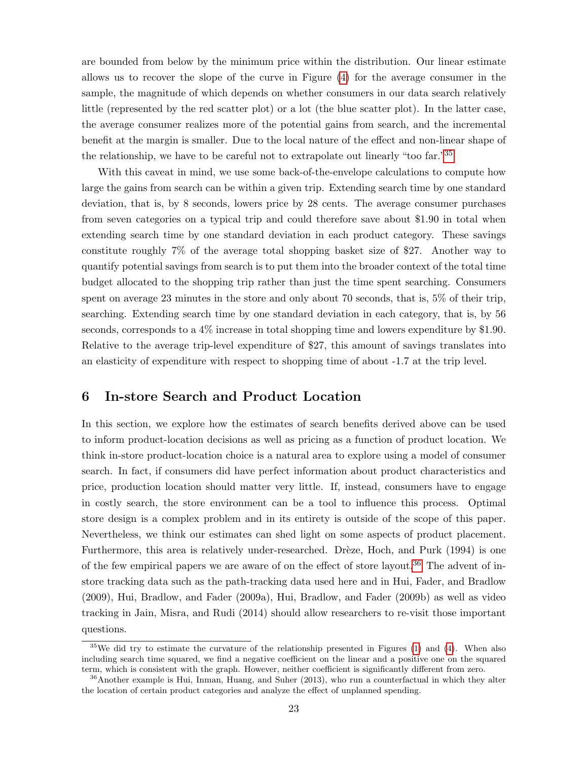are bounded from below by the minimum price within the distribution. Our linear estimate allows us to recover the slope of the curve in Figure [\(4\)](#page-35-1) for the average consumer in the sample, the magnitude of which depends on whether consumers in our data search relatively little (represented by the red scatter plot) or a lot (the blue scatter plot). In the latter case, the average consumer realizes more of the potential gains from search, and the incremental benefit at the margin is smaller. Due to the local nature of the effect and non-linear shape of the relationship, we have to be careful not to extrapolate out linearly "too far."[35](#page--1-0)

With this caveat in mind, we use some back-of-the-envelope calculations to compute how large the gains from search can be within a given trip. Extending search time by one standard deviation, that is, by 8 seconds, lowers price by 28 cents. The average consumer purchases from seven categories on a typical trip and could therefore save about \$1.90 in total when extending search time by one standard deviation in each product category. These savings constitute roughly 7% of the average total shopping basket size of \$27. Another way to quantify potential savings from search is to put them into the broader context of the total time budget allocated to the shopping trip rather than just the time spent searching. Consumers spent on average 23 minutes in the store and only about 70 seconds, that is, 5% of their trip, searching. Extending search time by one standard deviation in each category, that is, by 56 seconds, corresponds to a 4% increase in total shopping time and lowers expenditure by \$1.90. Relative to the average trip-level expenditure of \$27, this amount of savings translates into an elasticity of expenditure with respect to shopping time of about -1.7 at the trip level.

## <span id="page-24-0"></span>6 In-store Search and Product Location

In this section, we explore how the estimates of search benefits derived above can be used to inform product-location decisions as well as pricing as a function of product location. We think in-store product-location choice is a natural area to explore using a model of consumer search. In fact, if consumers did have perfect information about product characteristics and price, production location should matter very little. If, instead, consumers have to engage in costly search, the store environment can be a tool to influence this process. Optimal store design is a complex problem and in its entirety is outside of the scope of this paper. Nevertheless, we think our estimates can shed light on some aspects of product placement. Furthermore, this area is relatively under-researched. Drèze, Hoch, and Purk (1994) is one of the few empirical papers we are aware of on the effect of store layout.<sup>[36](#page--1-0)</sup> The advent of instore tracking data such as the path-tracking data used here and in Hui, Fader, and Bradlow (2009), Hui, Bradlow, and Fader (2009a), Hui, Bradlow, and Fader (2009b) as well as video tracking in Jain, Misra, and Rudi (2014) should allow researchers to re-visit those important questions.

 $35$ We did try to estimate the curvature of the relationship presented in Figures [\(1\)](#page-34-0) and [\(4\)](#page-35-1). When also including search time squared, we find a negative coefficient on the linear and a positive one on the squared term, which is consistent with the graph. However, neither coefficient is significantly different from zero.

<sup>36</sup>Another example is Hui, Inman, Huang, and Suher (2013), who run a counterfactual in which they alter the location of certain product categories and analyze the effect of unplanned spending.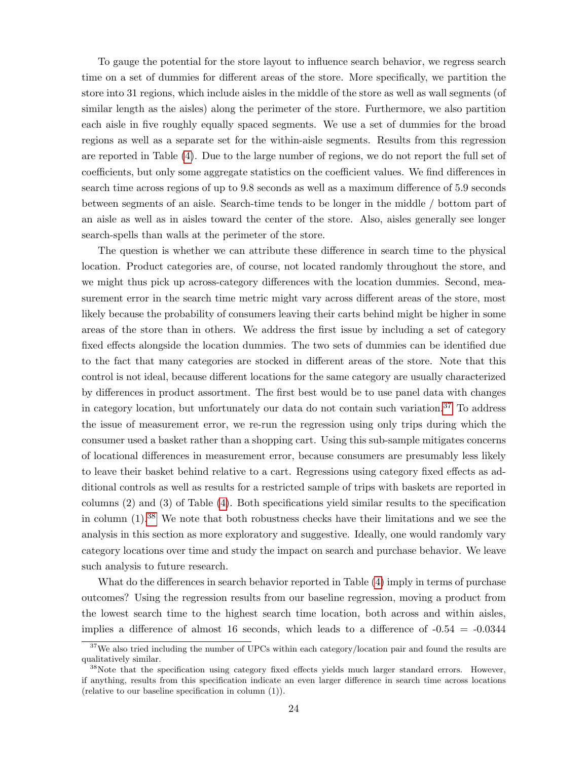To gauge the potential for the store layout to influence search behavior, we regress search time on a set of dummies for different areas of the store. More specifically, we partition the store into 31 regions, which include aisles in the middle of the store as well as wall segments (of similar length as the aisles) along the perimeter of the store. Furthermore, we also partition each aisle in five roughly equally spaced segments. We use a set of dummies for the broad regions as well as a separate set for the within-aisle segments. Results from this regression are reported in Table [\(4\)](#page-33-0). Due to the large number of regions, we do not report the full set of coefficients, but only some aggregate statistics on the coefficient values. We find differences in search time across regions of up to 9.8 seconds as well as a maximum difference of 5.9 seconds between segments of an aisle. Search-time tends to be longer in the middle / bottom part of an aisle as well as in aisles toward the center of the store. Also, aisles generally see longer search-spells than walls at the perimeter of the store.

The question is whether we can attribute these difference in search time to the physical location. Product categories are, of course, not located randomly throughout the store, and we might thus pick up across-category differences with the location dummies. Second, measurement error in the search time metric might vary across different areas of the store, most likely because the probability of consumers leaving their carts behind might be higher in some areas of the store than in others. We address the first issue by including a set of category fixed effects alongside the location dummies. The two sets of dummies can be identified due to the fact that many categories are stocked in different areas of the store. Note that this control is not ideal, because different locations for the same category are usually characterized by differences in product assortment. The first best would be to use panel data with changes in category location, but unfortunately our data do not contain such variation.[37](#page--1-0) To address the issue of measurement error, we re-run the regression using only trips during which the consumer used a basket rather than a shopping cart. Using this sub-sample mitigates concerns of locational differences in measurement error, because consumers are presumably less likely to leave their basket behind relative to a cart. Regressions using category fixed effects as additional controls as well as results for a restricted sample of trips with baskets are reported in columns (2) and (3) of Table [\(4\)](#page-33-0). Both specifications yield similar results to the specification in column (1).[38](#page--1-0) We note that both robustness checks have their limitations and we see the analysis in this section as more exploratory and suggestive. Ideally, one would randomly vary category locations over time and study the impact on search and purchase behavior. We leave such analysis to future research.

What do the differences in search behavior reported in Table [\(4\)](#page-33-0) imply in terms of purchase outcomes? Using the regression results from our baseline regression, moving a product from the lowest search time to the highest search time location, both across and within aisles, implies a difference of almost 16 seconds, which leads to a difference of  $-0.54 = -0.0344$ 

<sup>&</sup>lt;sup>37</sup>We also tried including the number of UPCs within each category/location pair and found the results are qualitatively similar.

<sup>&</sup>lt;sup>38</sup>Note that the specification using category fixed effects yields much larger standard errors. However, if anything, results from this specification indicate an even larger difference in search time across locations (relative to our baseline specification in column (1)).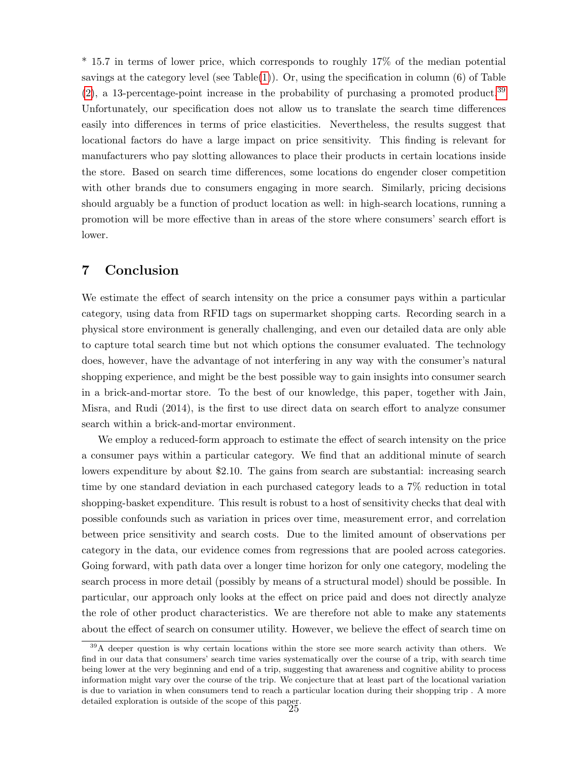\* 15.7 in terms of lower price, which corresponds to roughly 17% of the median potential savings at the category level (see Table $(1)$ ). Or, using the specification in column  $(6)$  of Table  $(2)$ , a 13-percentage-point increase in the probability of purchasing a promoted product.<sup>[39](#page--1-0)</sup> Unfortunately, our specification does not allow us to translate the search time differences easily into differences in terms of price elasticities. Nevertheless, the results suggest that locational factors do have a large impact on price sensitivity. This finding is relevant for manufacturers who pay slotting allowances to place their products in certain locations inside the store. Based on search time differences, some locations do engender closer competition with other brands due to consumers engaging in more search. Similarly, pricing decisions should arguably be a function of product location as well: in high-search locations, running a promotion will be more effective than in areas of the store where consumers' search effort is lower.

# 7 Conclusion

We estimate the effect of search intensity on the price a consumer pays within a particular category, using data from RFID tags on supermarket shopping carts. Recording search in a physical store environment is generally challenging, and even our detailed data are only able to capture total search time but not which options the consumer evaluated. The technology does, however, have the advantage of not interfering in any way with the consumer's natural shopping experience, and might be the best possible way to gain insights into consumer search in a brick-and-mortar store. To the best of our knowledge, this paper, together with Jain, Misra, and Rudi (2014), is the first to use direct data on search effort to analyze consumer search within a brick-and-mortar environment.

We employ a reduced-form approach to estimate the effect of search intensity on the price a consumer pays within a particular category. We find that an additional minute of search lowers expenditure by about \$2.10. The gains from search are substantial: increasing search time by one standard deviation in each purchased category leads to a 7% reduction in total shopping-basket expenditure. This result is robust to a host of sensitivity checks that deal with possible confounds such as variation in prices over time, measurement error, and correlation between price sensitivity and search costs. Due to the limited amount of observations per category in the data, our evidence comes from regressions that are pooled across categories. Going forward, with path data over a longer time horizon for only one category, modeling the search process in more detail (possibly by means of a structural model) should be possible. In particular, our approach only looks at the effect on price paid and does not directly analyze the role of other product characteristics. We are therefore not able to make any statements about the effect of search on consumer utility. However, we believe the effect of search time on

<sup>&</sup>lt;sup>39</sup>A deeper question is why certain locations within the store see more search activity than others. We find in our data that consumers' search time varies systematically over the course of a trip, with search time being lower at the very beginning and end of a trip, suggesting that awareness and cognitive ability to process information might vary over the course of the trip. We conjecture that at least part of the locational variation is due to variation in when consumers tend to reach a particular location during their shopping trip . A more detailed exploration is outside of the scope of this paper. 25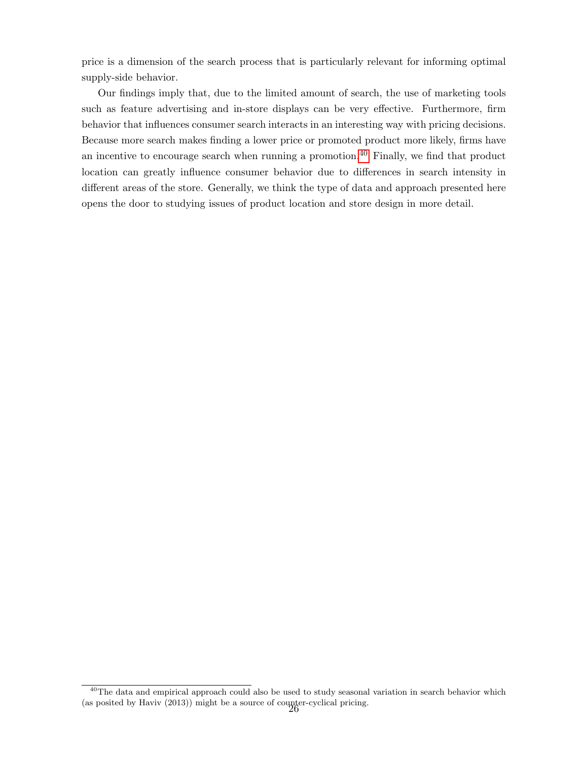price is a dimension of the search process that is particularly relevant for informing optimal supply-side behavior.

Our findings imply that, due to the limited amount of search, the use of marketing tools such as feature advertising and in-store displays can be very effective. Furthermore, firm behavior that influences consumer search interacts in an interesting way with pricing decisions. Because more search makes finding a lower price or promoted product more likely, firms have an incentive to encourage search when running a promotion. $40$  Finally, we find that product location can greatly influence consumer behavior due to differences in search intensity in different areas of the store. Generally, we think the type of data and approach presented here opens the door to studying issues of product location and store design in more detail.

<sup>&</sup>lt;sup>40</sup>The data and empirical approach could also be used to study seasonal variation in search behavior which (as posited by Haviv (2013)) might be a source of counter-cyclical pricing.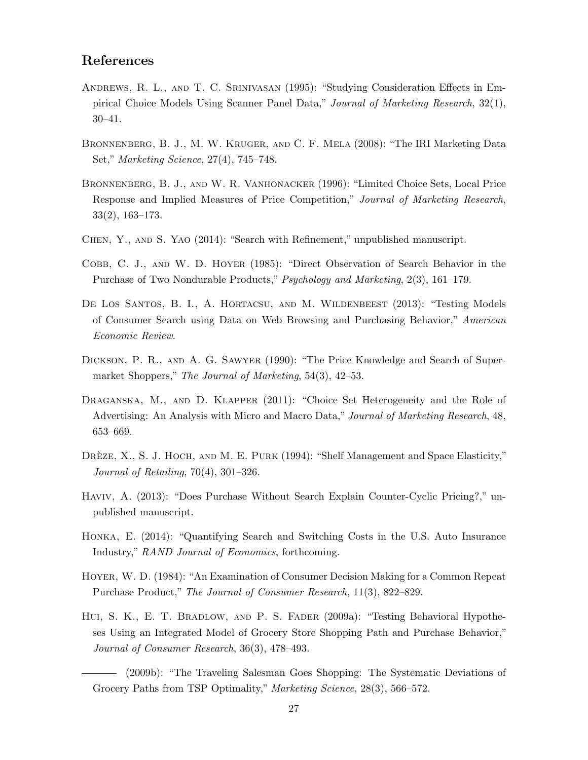# References

- Andrews, R. L., and T. C. Srinivasan (1995): "Studying Consideration Effects in Empirical Choice Models Using Scanner Panel Data," Journal of Marketing Research, 32(1), 30–41.
- BRONNENBERG, B. J., M. W. KRUGER, AND C. F. MELA (2008): "The IRI Marketing Data Set," Marketing Science, 27(4), 745–748.
- Bronnenberg, B. J., and W. R. Vanhonacker (1996): "Limited Choice Sets, Local Price Response and Implied Measures of Price Competition," Journal of Marketing Research, 33(2), 163–173.
- Chen, Y., and S. Yao (2014): "Search with Refinement," unpublished manuscript.
- COBB, C. J., AND W. D. HOYER (1985): "Direct Observation of Search Behavior in the Purchase of Two Nondurable Products," Psychology and Marketing, 2(3), 161–179.
- DE LOS SANTOS, B. I., A. HORTACSU, AND M. WILDENBEEST (2013): "Testing Models of Consumer Search using Data on Web Browsing and Purchasing Behavior," American Economic Review.
- Dickson, P. R., and A. G. Sawyer (1990): "The Price Knowledge and Search of Supermarket Shoppers," The Journal of Marketing, 54(3), 42–53.
- DRAGANSKA, M., AND D. KLAPPER (2011): "Choice Set Heterogeneity and the Role of Advertising: An Analysis with Micro and Macro Data," Journal of Marketing Research, 48, 653–669.
- DRÈZE, X., S. J. HOCH, AND M. E. PURK (1994): "Shelf Management and Space Elasticity," Journal of Retailing, 70(4), 301–326.
- Haviv, A. (2013): "Does Purchase Without Search Explain Counter-Cyclic Pricing?," unpublished manuscript.
- Honka, E. (2014): "Quantifying Search and Switching Costs in the U.S. Auto Insurance Industry," RAND Journal of Economics, forthcoming.
- Hoyer, W. D. (1984): "An Examination of Consumer Decision Making for a Common Repeat Purchase Product," The Journal of Consumer Research, 11(3), 822–829.
- Hui, S. K., E. T. Bradlow, and P. S. Fader (2009a): "Testing Behavioral Hypotheses Using an Integrated Model of Grocery Store Shopping Path and Purchase Behavior," Journal of Consumer Research, 36(3), 478–493.
	- (2009b): "The Traveling Salesman Goes Shopping: The Systematic Deviations of Grocery Paths from TSP Optimality," Marketing Science, 28(3), 566–572.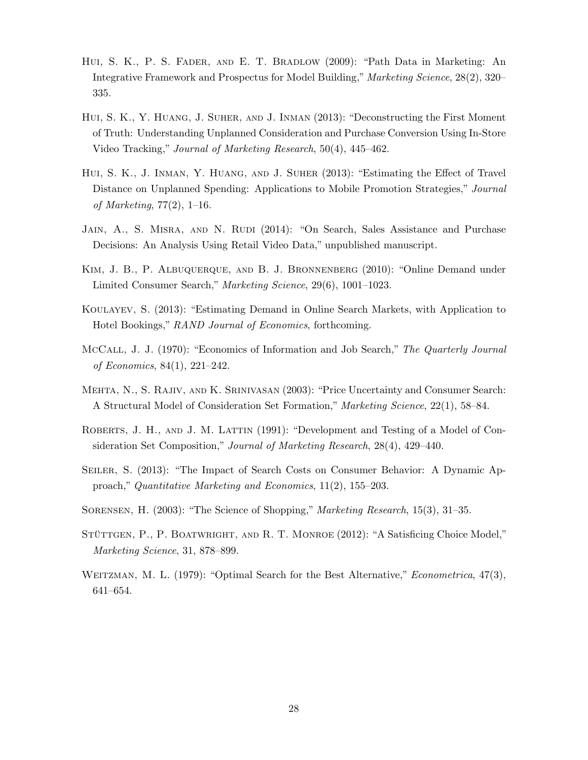- Hui, S. K., P. S. Fader, and E. T. Bradlow (2009): "Path Data in Marketing: An Integrative Framework and Prospectus for Model Building," Marketing Science, 28(2), 320– 335.
- Hui, S. K., Y. Huang, J. Suher, and J. Inman (2013): "Deconstructing the First Moment of Truth: Understanding Unplanned Consideration and Purchase Conversion Using In-Store Video Tracking," Journal of Marketing Research, 50(4), 445–462.
- Hui, S. K., J. Inman, Y. Huang, and J. Suher (2013): "Estimating the Effect of Travel Distance on Unplanned Spending: Applications to Mobile Promotion Strategies," Journal of Marketing,  $77(2)$ , 1–16.
- JAIN, A., S. MISRA, AND N. RUDI (2014): "On Search, Sales Assistance and Purchase Decisions: An Analysis Using Retail Video Data," unpublished manuscript.
- Kim, J. B., P. Albuquerque, and B. J. Bronnenberg (2010): "Online Demand under Limited Consumer Search," Marketing Science, 29(6), 1001–1023.
- Koulayev, S. (2013): "Estimating Demand in Online Search Markets, with Application to Hotel Bookings," RAND Journal of Economics, forthcoming.
- McCall, J. J. (1970): "Economics of Information and Job Search," The Quarterly Journal of Economics, 84(1), 221–242.
- Mehta, N., S. Rajiv, and K. Srinivasan (2003): "Price Uncertainty and Consumer Search: A Structural Model of Consideration Set Formation," Marketing Science, 22(1), 58–84.
- ROBERTS, J. H., AND J. M. LATTIN (1991): "Development and Testing of a Model of Consideration Set Composition," Journal of Marketing Research, 28(4), 429–440.
- SEILER, S. (2013): "The Impact of Search Costs on Consumer Behavior: A Dynamic Approach," Quantitative Marketing and Economics, 11(2), 155–203.
- Sorensen, H. (2003): "The Science of Shopping," Marketing Research, 15(3), 31–35.
- STÜTTGEN, P., P. BOATWRIGHT, AND R. T. MONROE (2012): "A Satisficing Choice Model," Marketing Science, 31, 878–899.
- WEITZMAN, M. L. (1979): "Optimal Search for the Best Alternative," *Econometrica*, 47(3), 641–654.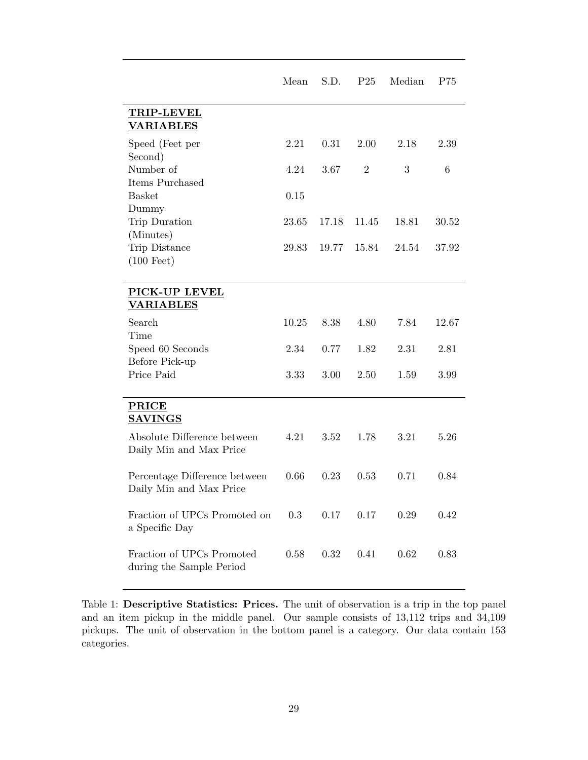|                                                          | Mean  | S.D.  | P <sub>25</sub> | Median | P75   |
|----------------------------------------------------------|-------|-------|-----------------|--------|-------|
| <b>TRIP-LEVEL</b><br><b>VARIABLES</b>                    |       |       |                 |        |       |
| Speed (Feet per<br>Second)                               | 2.21  | 0.31  | 2.00            | 2.18   | 2.39  |
| Number of<br>Items Purchased                             | 4.24  | 3.67  | $\overline{2}$  | 3      | 6     |
| <b>Basket</b>                                            | 0.15  |       |                 |        |       |
| Dummy<br>Trip Duration<br>(Minutes)                      | 23.65 | 17.18 | 11.45           | 18.81  | 30.52 |
| Trip Distance<br>$(100 \text{ feet})$                    | 29.83 | 19.77 | 15.84           | 24.54  | 37.92 |
| PICK-UP LEVEL<br><b>VARIABLES</b>                        |       |       |                 |        |       |
| Search<br>Time                                           | 10.25 | 8.38  | 4.80            | 7.84   | 12.67 |
| Speed 60 Seconds                                         | 2.34  | 0.77  | 1.82            | 2.31   | 2.81  |
| Before Pick-up<br>Price Paid                             | 3.33  | 3.00  | 2.50            | 1.59   | 3.99  |
| <b>PRICE</b><br><b>SAVINGS</b>                           |       |       |                 |        |       |
| Absolute Difference between<br>Daily Min and Max Price   | 4.21  | 3.52  | 1.78            | 3.21   | 5.26  |
| Percentage Difference between<br>Daily Min and Max Price | 0.66  | 0.23  | 0.53            | 0.71   | 0.84  |
| Fraction of UPCs Promoted on<br>a Specific Day           | 0.3   | 0.17  | 0.17            | 0.29   | 0.42  |
| Fraction of UPCs Promoted<br>during the Sample Period    | 0.58  | 0.32  | 0.41            | 0.62   | 0.83  |

<span id="page-30-0"></span>Table 1: Descriptive Statistics: Prices. The unit of observation is a trip in the top panel and an item pickup in the middle panel. Our sample consists of 13,112 trips and 34,109 pickups. The unit of observation in the bottom panel is a category. Our data contain 153 categories.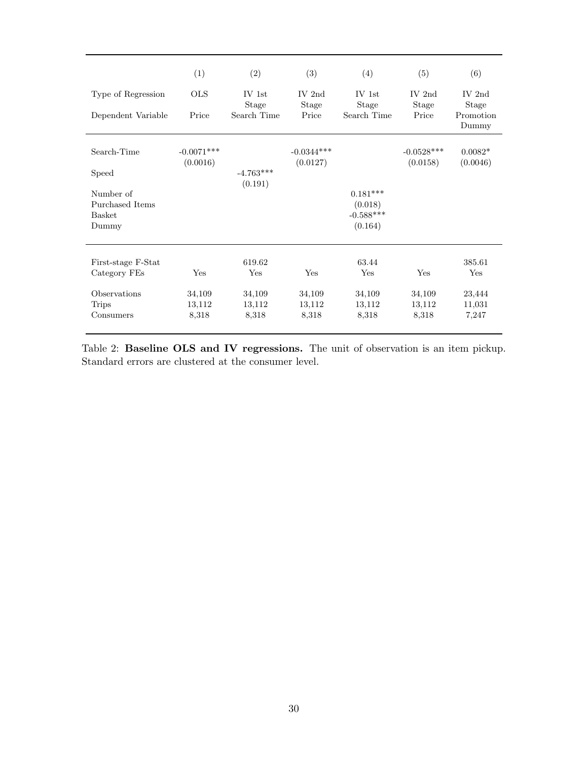|                    | (1)                      | (2)                      | (3)                      | (4)                      | (5)                      | (6)                   |
|--------------------|--------------------------|--------------------------|--------------------------|--------------------------|--------------------------|-----------------------|
| Type of Regression | <b>OLS</b>               | $IV$ 1st<br><b>Stage</b> | IV $2nd$<br><b>Stage</b> | $IV$ 1st<br><b>Stage</b> | $IV$ 2nd<br>Stage        | IV $2nd$<br>Stage     |
| Dependent Variable | Price                    | Search Time              | Price                    | Search Time              | Price                    | Promotion<br>Dummy    |
| Search-Time        | $-0.0071***$<br>(0.0016) |                          | $-0.0344***$<br>(0.0127) |                          | $-0.0528***$<br>(0.0158) | $0.0082*$<br>(0.0046) |
| Speed              |                          | $-4.763***$<br>(0.191)   |                          |                          |                          |                       |
| Number of          |                          |                          |                          | $0.181***$               |                          |                       |
| Purchased Items    |                          |                          |                          | (0.018)                  |                          |                       |
| <b>Basket</b>      |                          |                          |                          | $-0.588***$              |                          |                       |
| Dummy              |                          |                          |                          | (0.164)                  |                          |                       |
| First-stage F-Stat |                          | 619.62                   |                          | 63.44                    |                          | 385.61                |
| Category FEs       | Yes                      | Yes                      | Yes                      | Yes                      | Yes                      | Yes                   |
| Observations       | 34,109                   | 34,109                   | 34,109                   | 34,109                   | 34,109                   | 23,444                |
| <b>Trips</b>       | 13,112                   | 13,112                   | 13,112                   | 13,112                   | 13,112                   | 11,031                |
| Consumers          | 8,318                    | 8,318                    | 8,318                    | 8,318                    | 8,318                    | 7,247                 |

<span id="page-31-0"></span>Table 2: Baseline OLS and IV regressions. The unit of observation is an item pickup. Standard errors are clustered at the consumer level.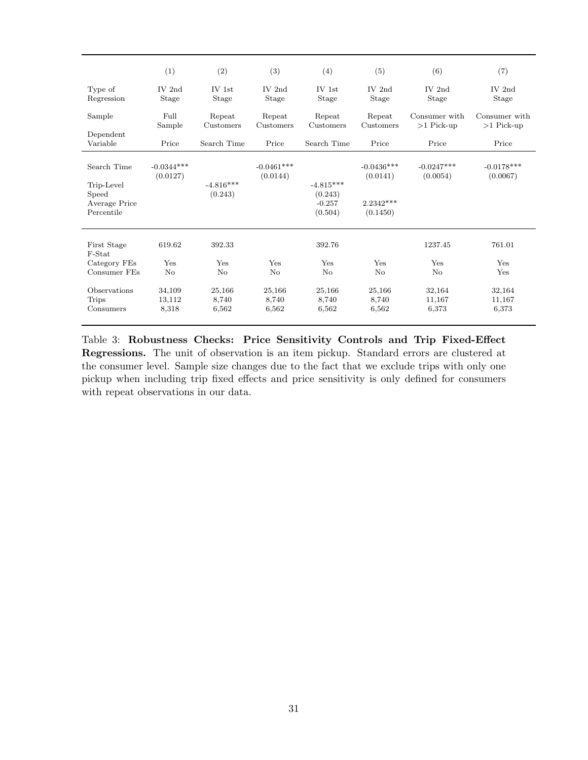|                                                    | (1)                       | (2)                      | (3)                      | (4)                                           | (5)                      | (6)                           | (7)                           |
|----------------------------------------------------|---------------------------|--------------------------|--------------------------|-----------------------------------------------|--------------------------|-------------------------------|-------------------------------|
| Type of<br>Regression                              | IV 2nd<br><b>Stage</b>    | $IV$ 1st<br>Stage        | $IV$ 2nd<br>Stage        | $IV$ 1st<br>Stage                             | $IV$ 2nd<br>Stage        | IV 2nd<br>Stage               | $IV$ 2nd<br>Stage             |
| Sample                                             | Full<br>Sample            | Repeat<br>Customers      | Repeat<br>Customers      | Repeat<br>Customers                           | Repeat<br>Customers      | Consumer with<br>$>1$ Pick-up | Consumer with<br>$>1$ Pick-up |
| Dependent<br>Variable                              | Price                     | Search Time              | Price                    | Search Time                                   | Price                    | Price                         | Price                         |
| Search Time                                        | $-0.0344***$<br>(0.0127)  |                          | $-0.0461***$<br>(0.0144) |                                               | $-0.0436***$<br>(0.0141) | $-0.0247***$<br>(0.0054)      | $-0.0178***$<br>(0.0067)      |
| Trip-Level<br>Speed<br>Average Price<br>Percentile |                           | $-4.816***$<br>(0.243)   |                          | $-4.815***$<br>(0.243)<br>$-0.257$<br>(0.504) | $2.2342***$<br>(0.1450)  |                               |                               |
| First Stage<br>F-Stat                              | 619.62                    | 392.33                   |                          | 392.76                                        |                          | 1237.45                       | 761.01                        |
| Category FEs<br>Consumer FEs                       | Yes<br>No                 | Yes<br>No                | Yes<br>No                | Yes<br>No                                     | Yes<br>$\rm No$          | Yes<br>No                     | Yes<br>Yes                    |
| Observations<br><b>Trips</b><br>Consumers          | 34,109<br>13,112<br>8,318 | 25,166<br>8,740<br>6,562 | 25,166<br>8,740<br>6,562 | 25,166<br>8,740<br>6,562                      | 25,166<br>8,740<br>6,562 | 32,164<br>11,167<br>6,373     | 32,164<br>11,167<br>6,373     |

<span id="page-32-0"></span>Table 3: Robustness Checks: Price Sensitivity Controls and Trip Fixed-Effect Regressions. The unit of observation is an item pickup. Standard errors are clustered at the consumer level. Sample size changes due to the fact that we exclude trips with only one pickup when including trip fixed effects and price sensitivity is only defined for consumers with repeat observations in our data.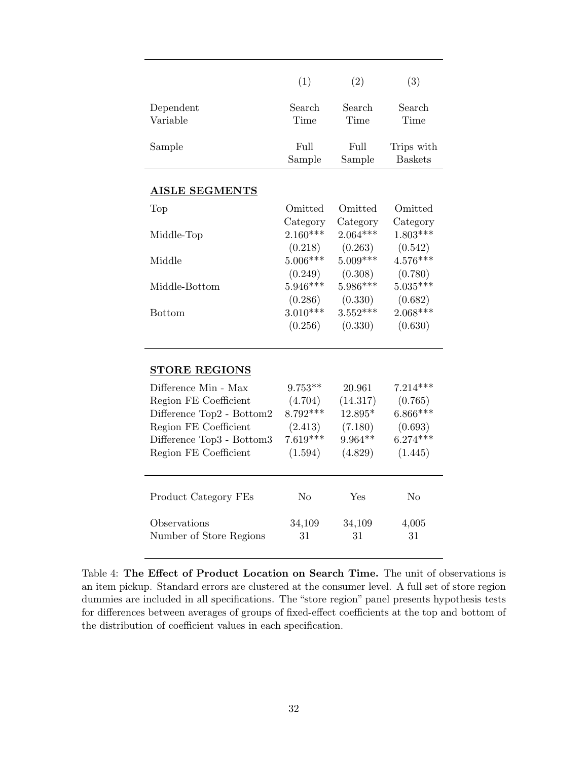|                           | (1)        | (2)        | (3)            |
|---------------------------|------------|------------|----------------|
| Dependent                 | Search     | Search     | Search         |
| Variable                  | Time       | Time       | Time           |
|                           |            |            |                |
| Sample                    | Full       | Full       | Trips with     |
|                           | Sample     | Sample     | <b>Baskets</b> |
|                           |            |            |                |
| <b>AISLE SEGMENTS</b>     |            |            |                |
| Top                       | Omitted    | Omitted    | Omitted        |
|                           | Category   | Category   | Category       |
| Middle-Top                | $2.160***$ | $2.064***$ | $1.803***$     |
|                           | (0.218)    | (0.263)    | (0.542)        |
| Middle                    | $5.006***$ | $5.009***$ | $4.576***$     |
|                           | (0.249)    | (0.308)    | (0.780)        |
| Middle-Bottom             | $5.946***$ | $5.986***$ | $5.035***$     |
|                           | (0.286)    | (0.330)    | (0.682)        |
| <b>Bottom</b>             | $3.010***$ | $3.552***$ | $2.068***$     |
|                           | (0.256)    | (0.330)    | (0.630)        |
|                           |            |            |                |
| <b>STORE REGIONS</b>      |            |            |                |
| Difference Min - Max      | $9.753**$  | 20.961     | $7.214***$     |
| Region FE Coefficient     | (4.704)    | (14.317)   | (0.765)        |
| Difference Top2 - Bottom2 | $8.792***$ | 12.895*    | $6.866***$     |
| Region FE Coefficient     | (2.413)    | (7.180)    | (0.693)        |
| Difference Top3 - Bottom3 | $7.619***$ | 9.964**    | $6.274***$     |
| Region FE Coefficient     | (1.594)    | (4.829)    | (1.445)        |
|                           |            |            |                |
| Product Category FEs      | No         | Yes        | No             |
| Observations              | 34,109     | 34,109     | 4,005          |
| Number of Store Regions   | 31         | 31         | 31             |
|                           |            |            |                |

<span id="page-33-0"></span>Table 4: The Effect of Product Location on Search Time. The unit of observations is an item pickup. Standard errors are clustered at the consumer level. A full set of store region dummies are included in all specifications. The "store region" panel presents hypothesis tests for differences between averages of groups of fixed-effect coefficients at the top and bottom of the distribution of coefficient values in each specification.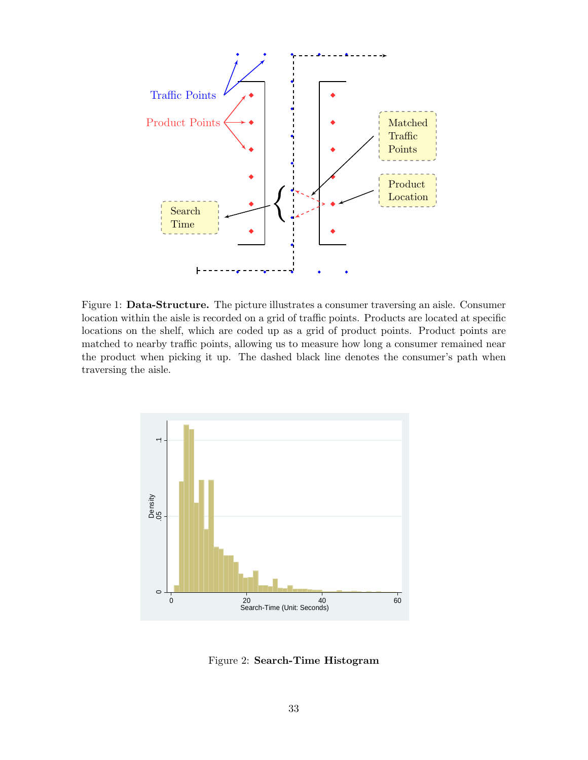

<span id="page-34-0"></span>Figure 1: Data-Structure. The picture illustrates a consumer traversing an aisle. Consumer location within the aisle is recorded on a grid of traffic points. Products are located at specific locations on the shelf, which are coded up as a grid of product points. Product points are matched to nearby traffic points, allowing us to measure how long a consumer remained near the product when picking it up. The dashed black line denotes the consumer's path when traversing the aisle.



<span id="page-34-1"></span>Figure 2: Search-Time Histogram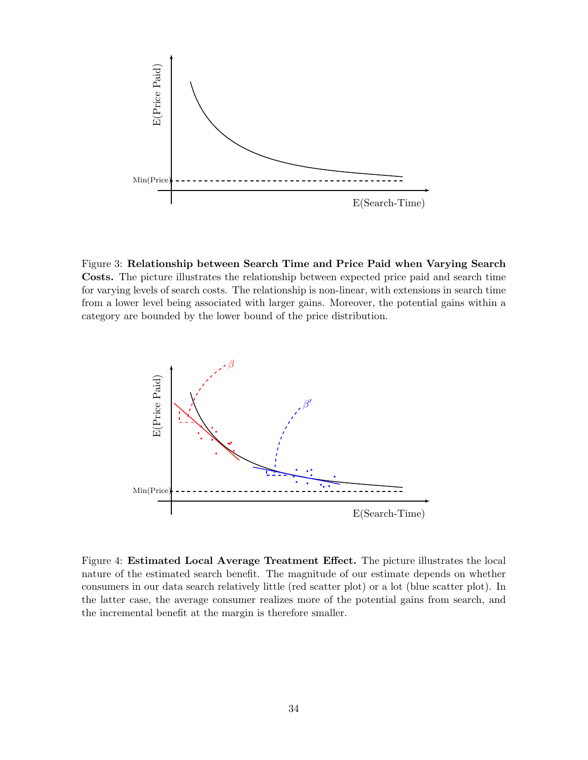

<span id="page-35-0"></span>Figure 3: Relationship between Search Time and Price Paid when Varying Search Costs. The picture illustrates the relationship between expected price paid and search time for varying levels of search costs. The relationship is non-linear, with extensions in search time from a lower level being associated with larger gains. Moreover, the potential gains within a category are bounded by the lower bound of the price distribution.



<span id="page-35-1"></span>Figure 4: Estimated Local Average Treatment Effect. The picture illustrates the local nature of the estimated search benefit. The magnitude of our estimate depends on whether consumers in our data search relatively little (red scatter plot) or a lot (blue scatter plot). In the latter case, the average consumer realizes more of the potential gains from search, and the incremental benefit at the margin is therefore smaller.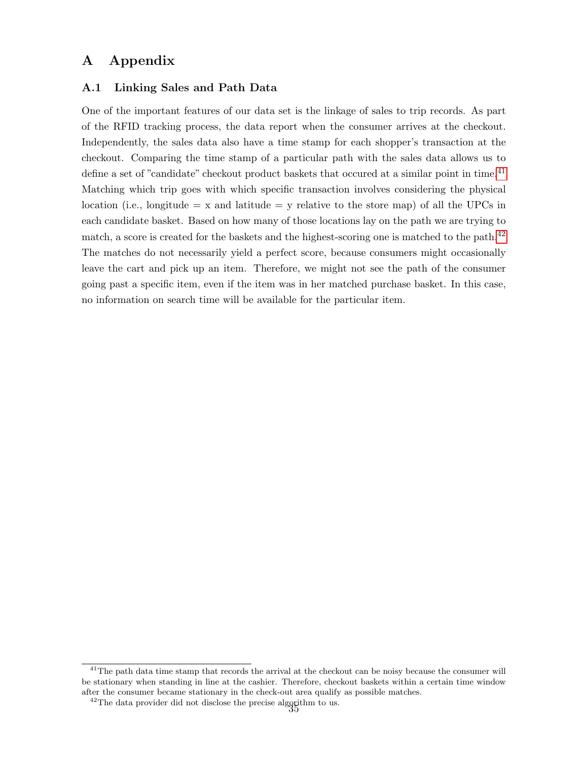# A Appendix

### <span id="page-36-0"></span>A.1 Linking Sales and Path Data

One of the important features of our data set is the linkage of sales to trip records. As part of the RFID tracking process, the data report when the consumer arrives at the checkout. Independently, the sales data also have a time stamp for each shopper's transaction at the checkout. Comparing the time stamp of a particular path with the sales data allows us to define a set of "candidate" checkout product baskets that occured at a similar point in time.<sup>[41](#page--1-0)</sup> Matching which trip goes with which specific transaction involves considering the physical location (i.e., longitude  $= x$  and latitude  $= y$  relative to the store map) of all the UPCs in each candidate basket. Based on how many of those locations lay on the path we are trying to match, a score is created for the baskets and the highest-scoring one is matched to the path.<sup>[42](#page--1-0)</sup> The matches do not necessarily yield a perfect score, because consumers might occasionally leave the cart and pick up an item. Therefore, we might not see the path of the consumer going past a specific item, even if the item was in her matched purchase basket. In this case, no information on search time will be available for the particular item.

 $41$ The path data time stamp that records the arrival at the checkout can be noisy because the consumer will be stationary when standing in line at the cashier. Therefore, checkout baskets within a certain time window after the consumer became stationary in the check-out area qualify as possible matches.

<sup>&</sup>lt;sup>42</sup>The data provider did not disclose the precise algorithm to us.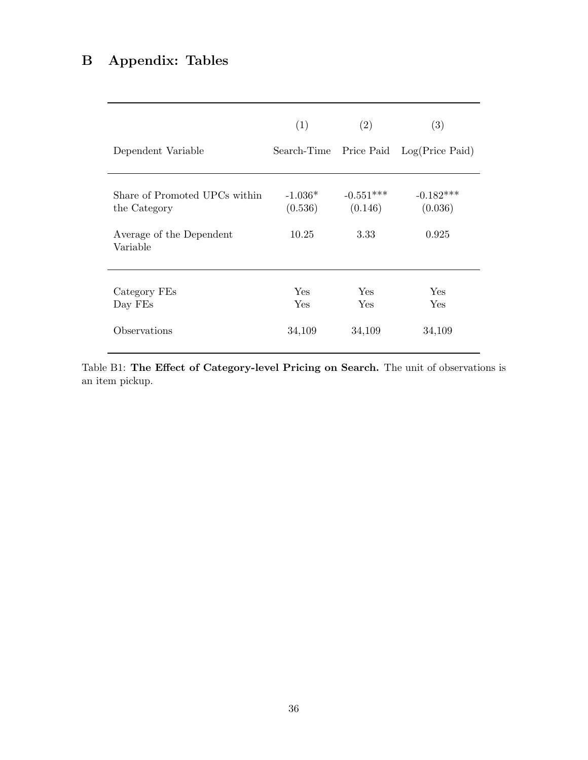# B Appendix: Tables

| Dependent Variable                                                                    | (1)                           | (2)                            | (3)<br>Search-Time Price Paid Log(Price Paid) |
|---------------------------------------------------------------------------------------|-------------------------------|--------------------------------|-----------------------------------------------|
| Share of Promoted UPCs within<br>the Category<br>Average of the Dependent<br>Variable | $-1.036*$<br>(0.536)<br>10.25 | $-0.551***$<br>(0.146)<br>3.33 | $-0.182***$<br>(0.036)<br>0.925               |
| Category FEs<br>Day FEs<br>Observations                                               | <b>Yes</b><br>Yes<br>34,109   | <b>Yes</b><br>Yes<br>34,109    | Yes<br>Yes<br>34,109                          |

Table B1: The Effect of Category-level Pricing on Search. The unit of observations is an item pickup.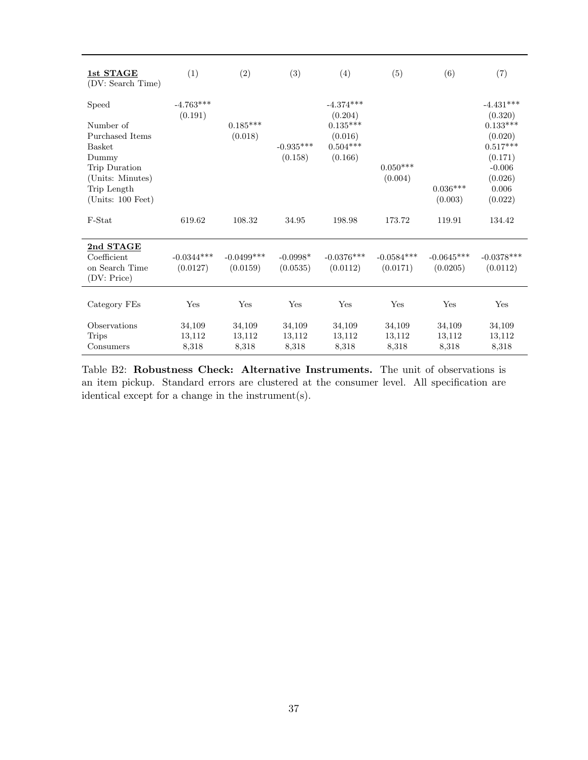| 1st STAGE<br>(DV: Search Time)                                                                                                             | (1)                       | (2)                       | (3)                       | (4)                                                                      | (5)                       | (6)                       | (7)                                                                                                                 |
|--------------------------------------------------------------------------------------------------------------------------------------------|---------------------------|---------------------------|---------------------------|--------------------------------------------------------------------------|---------------------------|---------------------------|---------------------------------------------------------------------------------------------------------------------|
| Speed<br>Number of<br>Purchased Items<br><b>Basket</b><br>Dummy<br>Trip Duration<br>(Units: Minutes)<br>Trip Length<br>(Units: $100$ Feet) | $-4.763***$<br>(0.191)    | $0.185***$<br>(0.018)     | $-0.935***$<br>(0.158)    | $-4.374***$<br>(0.204)<br>$0.135***$<br>(0.016)<br>$0.504***$<br>(0.166) | $0.050***$<br>(0.004)     | $0.036***$<br>(0.003)     | $-4.431***$<br>(0.320)<br>$0.133***$<br>(0.020)<br>$0.517***$<br>(0.171)<br>$-0.006$<br>(0.026)<br>0.006<br>(0.022) |
| F-Stat                                                                                                                                     | 619.62                    | 108.32                    | 34.95                     | 198.98                                                                   | 173.72                    | 119.91                    | 134.42                                                                                                              |
| 2nd STAGE<br>Coefficient<br>on Search Time<br>(DV: Price)                                                                                  | $-0.0344***$<br>(0.0127)  | $-0.0499$ ***<br>(0.0159) | $-0.0998*$<br>(0.0535)    | $-0.0376***$<br>(0.0112)                                                 | $-0.0584***$<br>(0.0171)  | $-0.0645***$<br>(0.0205)  | $-0.0378***$<br>(0.0112)                                                                                            |
| Category FEs                                                                                                                               | Yes                       | Yes                       | Yes                       | Yes                                                                      | Yes                       | Yes                       | Yes                                                                                                                 |
| Observations<br><b>Trips</b><br>Consumers                                                                                                  | 34,109<br>13,112<br>8,318 | 34,109<br>13,112<br>8,318 | 34,109<br>13,112<br>8,318 | 34,109<br>13,112<br>8,318                                                | 34,109<br>13,112<br>8,318 | 34,109<br>13,112<br>8,318 | 34,109<br>13,112<br>8,318                                                                                           |

Table B2: Robustness Check: Alternative Instruments. The unit of observations is an item pickup. Standard errors are clustered at the consumer level. All specification are identical except for a change in the instrument(s).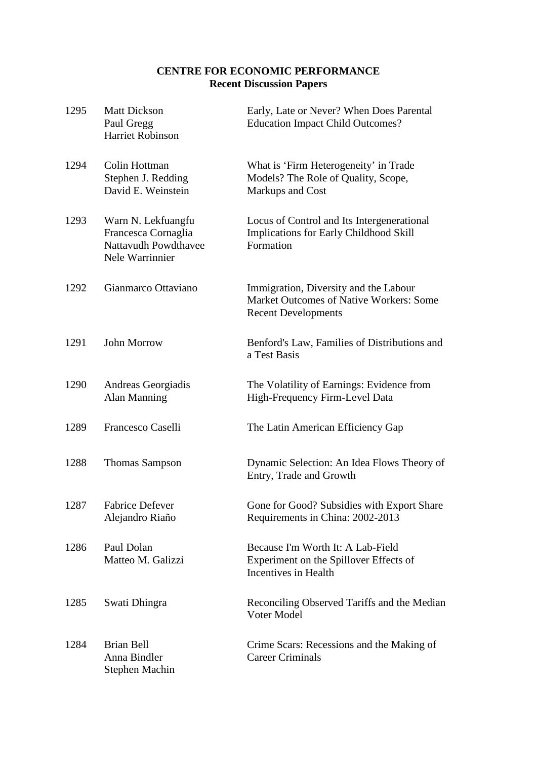# **CENTRE FOR ECONOMIC PERFORMANCE Recent Discussion Papers**

| 1295 | <b>Matt Dickson</b><br>Paul Gregg<br><b>Harriet Robinson</b>                         | Early, Late or Never? When Does Parental<br><b>Education Impact Child Outcomes?</b>                            |
|------|--------------------------------------------------------------------------------------|----------------------------------------------------------------------------------------------------------------|
| 1294 | Colin Hottman<br>Stephen J. Redding<br>David E. Weinstein                            | What is 'Firm Heterogeneity' in Trade<br>Models? The Role of Quality, Scope,<br>Markups and Cost               |
| 1293 | Warn N. Lekfuangfu<br>Francesca Cornaglia<br>Nattavudh Powdthavee<br>Nele Warrinnier | Locus of Control and Its Intergenerational<br>Implications for Early Childhood Skill<br>Formation              |
| 1292 | Gianmarco Ottaviano                                                                  | Immigration, Diversity and the Labour<br>Market Outcomes of Native Workers: Some<br><b>Recent Developments</b> |
| 1291 | John Morrow                                                                          | Benford's Law, Families of Distributions and<br>a Test Basis                                                   |
| 1290 | Andreas Georgiadis<br><b>Alan Manning</b>                                            | The Volatility of Earnings: Evidence from<br>High-Frequency Firm-Level Data                                    |
| 1289 | Francesco Caselli                                                                    | The Latin American Efficiency Gap                                                                              |
| 1288 | <b>Thomas Sampson</b>                                                                | Dynamic Selection: An Idea Flows Theory of<br>Entry, Trade and Growth                                          |
| 1287 | <b>Fabrice Defever</b><br>Alejandro Riaño                                            | Gone for Good? Subsidies with Export Share<br>Requirements in China: 2002-2013                                 |
| 1286 | Paul Dolan<br>Matteo M. Galizzi                                                      | Because I'm Worth It: A Lab-Field<br>Experiment on the Spillover Effects of<br>Incentives in Health            |
| 1285 | Swati Dhingra                                                                        | Reconciling Observed Tariffs and the Median<br>Voter Model                                                     |
| 1284 | <b>Brian Bell</b><br>Anna Bindler<br>Stephen Machin                                  | Crime Scars: Recessions and the Making of<br><b>Career Criminals</b>                                           |